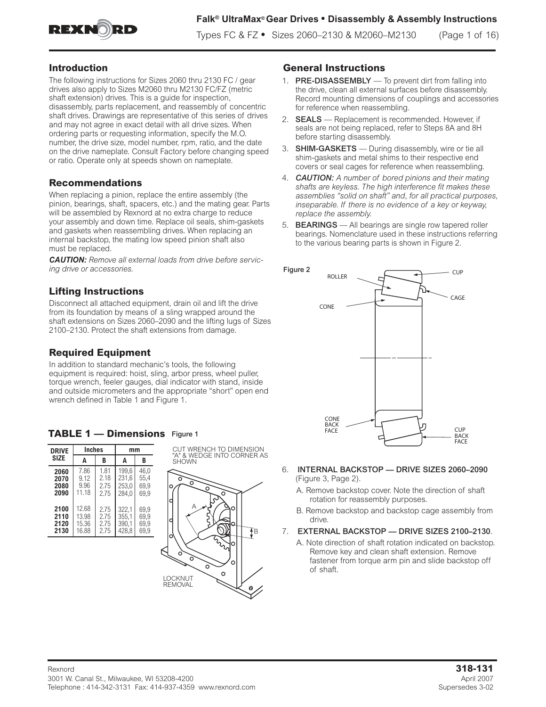

## **Introduction**

The following instructions for Sizes 2060 thru 2130 FC / gear drives also apply to Sizes M2060 thru M2130 FC/FZ (metric shaft extension) drives. This is a guide for inspection, disassembly, parts replacement, and reassembly of concentric shaft drives. Drawings are representative of this series of drives and may not agree in exact detail with all drive sizes. When ordering parts or requesting information, specify the M.O. number, the drive size, model number, rpm, ratio, and the date on the drive nameplate. Consult Factory before changing speed or ratio. Operate only at speeds shown on nameplate.

## **Recommendations**

When replacing a pinion, replace the entire assembly (the pinion, bearings, shaft, spacers, etc.) and the mating gear. Parts will be assembled by Rexnord at no extra charge to reduce your assembly and down time. Replace oil seals, shim-gaskets and gaskets when reassembling drives. When replacing an internal backstop, the mating low speed pinion shaft also must be replaced.

*CAUTION: Remove all external loads from drive before servicing drive or accessories.* 

## **Lifting Instructions**

Disconnect all attached equipment, drain oil and lift the drive from its foundation by means of a sling wrapped around the shaft extensions on Sizes 2060–2090 and the lifting lugs of Sizes 2100–2130. Protect the shaft extensions from damage.

## **Required Equipment**

In addition to standard mechanic's tools, the following equipment is required: hoist, sling, arbor press, wheel puller, torque wrench, feeler gauges, dial indicator with stand, inside and outside micrometers and the appropriate "short" open end wrench defined in Table 1 and Figure 1.

## **TABLE 1 — Dimensions** Figure 1

| <b>DRIVE</b> | <b>Inches</b> |      | mm    |      |  |  |  |
|--------------|---------------|------|-------|------|--|--|--|
| <b>SIZE</b>  | A             | B    | A     | B    |  |  |  |
| 2060         | 7.86          | 1.81 | 199.6 | 46.0 |  |  |  |
| 2070         | 9.12          | 2.18 | 231,6 | 55,4 |  |  |  |
| 2080         | 9.96          | 2.75 | 253.0 | 69.9 |  |  |  |
| 2090         | 11.18         | 275  | 284.0 | 69.9 |  |  |  |
| 2100         | 12.68         | 2.75 | 322,1 | 69.9 |  |  |  |
| 2110         | 13.98         | 2.75 | 355,1 | 69.9 |  |  |  |
| 2120         | 15.36         | 2.75 | 390,1 | 69.9 |  |  |  |
| 2130         | 16.88         | 2.75 | 428.8 | 69.9 |  |  |  |



## **General Instructions**

- 1. **PRE-DISASSEMBLY** To prevent dirt from falling into the drive, clean all external surfaces before disassembly. Record mounting dimensions of couplings and accessories for reference when reassembling.
- 2. **SEALS** Replacement is recommended. However, if seals are not being replaced, refer to Steps 8A and 8H before starting disassembly.
- 3. SHIM-GASKETS During disassembly, wire or tie all shim-gaskets and metal shims to their respective end covers or seal cages for reference when reassembling.
- 4. *CAUTION: A number of bored pinions and their mating shafts are keyless. The high interference fit makes these assemblies "solid on shaft" and, for all practical purposes, inseparable. If there is no evidence of a key or keyway, replace the assembly.*
- 5. **BEARINGS** All bearings are single row tapered roller bearings. Nomenclature used in these instructions referring to the various bearing parts is shown in Figure 2.



- 6. INTERNAL BACKSTOP DRIVE SIZES 2060–2090 (Figure 3, Page 2).
	- A. Remove backstop cover. Note the direction of shaft rotation for reassembly purposes.
	- B. Remove backstop and backstop cage assembly from drive.
- 7. EXTERNAL BACKSTOP DRIVE SIZES 2100–2130.
	- A. Note direction of shaft rotation indicated on backstop. Remove key and clean shaft extension. Remove fastener from torque arm pin and slide backstop off of shaft.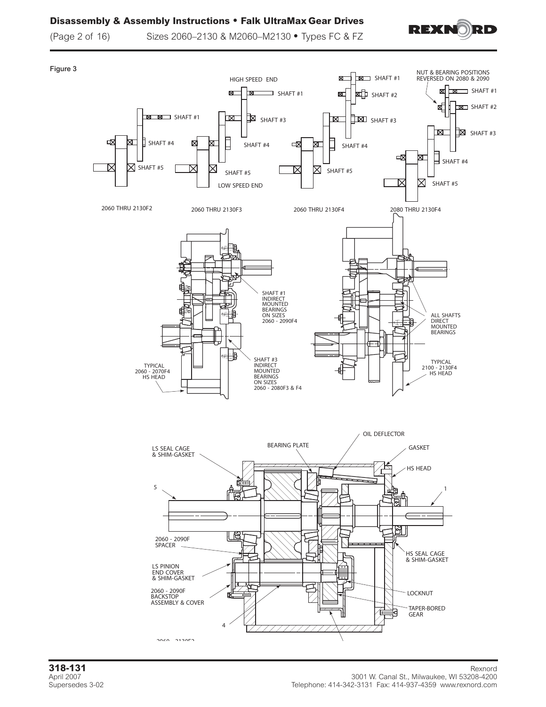## **Disassembly & Assembly Instructions • Falk UltraMax Gear Drives**



(Page 2 of 16) Sizes 2060–2130 & M2060–M2130 **•** Types FC & FZ

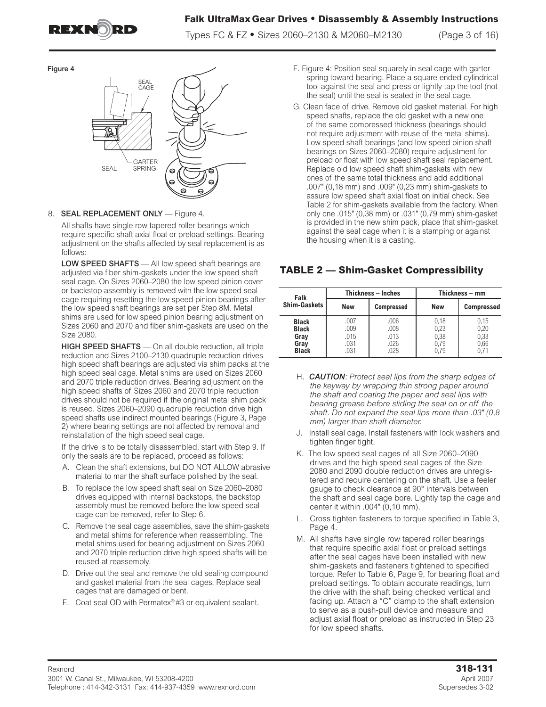

Figure 4

## **Falk UltraMax Gear Drives • Disassembly & Assembly Instructions**

Types FC & FZ **•** Sizes 2060–2130 & M2060–M2130 (Page 3 of 16)



### 8. **SEAL REPLACEMENT ONLY** — Figure 4.

All shafts have single row tapered roller bearings which require specific shaft axial float or preload settings. Bearing adjustment on the shafts affected by seal replacement is as follows:

LOW SPEED SHAFTS - All low speed shaft bearings are adjusted via fiber shim-gaskets under the low speed shaft seal cage. On Sizes 2060–2080 the low speed pinion cover or backstop assembly is removed with the low speed seal cage requiring resetting the low speed pinion bearings after the low speed shaft bearings are set per Step 8M. Metal shims are used for low speed pinion bearing adjustment on Sizes 2060 and 2070 and fiber shim-gaskets are used on the Size 2080.

HIGH SPEED SHAFTS — On all double reduction, all triple reduction and Sizes 2100–2130 quadruple reduction drives high speed shaft bearings are adjusted via shim packs at the high speed seal cage. Metal shims are used on Sizes 2060 and 2070 triple reduction drives. Bearing adjustment on the high speed shafts of Sizes 2060 and 2070 triple reduction drives should not be required if the original metal shim pack is reused. Sizes 2060–2090 quadruple reduction drive high speed shafts use indirect mounted bearings (Figure 3, Page 2) where bearing settings are not affected by removal and reinstallation of the high speed seal cage.

If the drive is to be totally disassembled, start with Step 9. If only the seals are to be replaced, proceed as follows:

- A. Clean the shaft extensions, but DO NOT ALLOW abrasive material to mar the shaft surface polished by the seal.
- B. To replace the low speed shaft seal on Size 2060–2080 drives equipped with internal backstops, the backstop assembly must be removed before the low speed seal cage can be removed, refer to Step 6.
- C. Remove the seal cage assemblies, save the shim-gaskets and metal shims for reference when reassembling. The metal shims used for bearing adjustment on Sizes 2060 and 2070 triple reduction drive high speed shafts will be reused at reassembly.
- D. Drive out the seal and remove the old sealing compound and gasket material from the seal cages. Replace seal cages that are damaged or bent.
- E. Coat seal OD with Permatex® #3 or equivalent sealant.
- F. Figure 4: Position seal squarely in seal cage with garter spring toward bearing. Place a square ended cylindrical tool against the seal and press or lightly tap the tool (not the seal) until the seal is seated in the seal cage.
- G. Clean face of drive. Remove old gasket material. For high speed shafts, replace the old gasket with a new one of the same compressed thickness (bearings should not require adjustment with reuse of the metal shims). Low speed shaft bearings (and low speed pinion shaft bearings on Sizes 2060–2080) require adjustment for preload or float with low speed shaft seal replacement. Replace old low speed shaft shim-gaskets with new ones of the same total thickness and add additional .007" (0,18 mm) and .009" (0,23 mm) shim-gaskets to assure low speed shaft axial float on initial check. See Table 2 for shim-gaskets available from the factory. When only one .015" (0,38 mm) or .031" (0,79 mm) shim-gasket is provided in the new shim pack, place that shim-gasket against the seal cage when it is a stamping or against the housing when it is a casting.

## **TABLE 2 — Shim-Gasket Compressibility**

| Falk<br>Shim-Gaskets                                         |                                      | <b>Thickness - Inches</b>            | Thickness - mm                       |                              |  |  |  |
|--------------------------------------------------------------|--------------------------------------|--------------------------------------|--------------------------------------|------------------------------|--|--|--|
|                                                              | <b>New</b>                           | <b>Compressed</b>                    | <b>New</b>                           | <b>Compressed</b>            |  |  |  |
| <b>Black</b><br><b>Black</b><br>Gray<br>Gray<br><b>Black</b> | .007<br>.009<br>.015<br>.031<br>.031 | .006<br>.008<br>.013<br>.026<br>.028 | 0,18<br>0,23<br>0,38<br>0,79<br>0.79 | 0,15<br>0,20<br>0,33<br>0,66 |  |  |  |

- H. *CAUTION: Protect seal lips from the sharp edges of the keyway by wrapping thin strong paper around the shaft and coating the paper and seal lips with bearing grease before sliding the seal on or off the shaft. Do not expand the seal lips more than .03" (0,8 mm) larger than shaft diameter.*
- J. Install seal cage. Install fasteners with lock washers and tighten finger tight.
- K. The low speed seal cages of all Size 2060–2090 drives and the high speed seal cages of the Size 2080 and 2090 double reduction drives are unregistered and require centering on the shaft. Use a feeler gauge to check clearance at 90° intervals between the shaft and seal cage bore. Lightly tap the cage and center it within .004" (0,10 mm).
- L. Cross tighten fasteners to torque specified in Table 3, Page 4.
- M. All shafts have single row tapered roller bearings that require specific axial float or preload settings after the seal cages have been installed with new shim-gaskets and fasteners tightened to specified torque. Refer to Table 6, Page 9, for bearing float and preload settings. To obtain accurate readings, turn the drive with the shaft being checked vertical and facing up. Attach a "C" clamp to the shaft extension to serve as a push-pull device and measure and adjust axial float or preload as instructed in Step 23 for low speed shafts.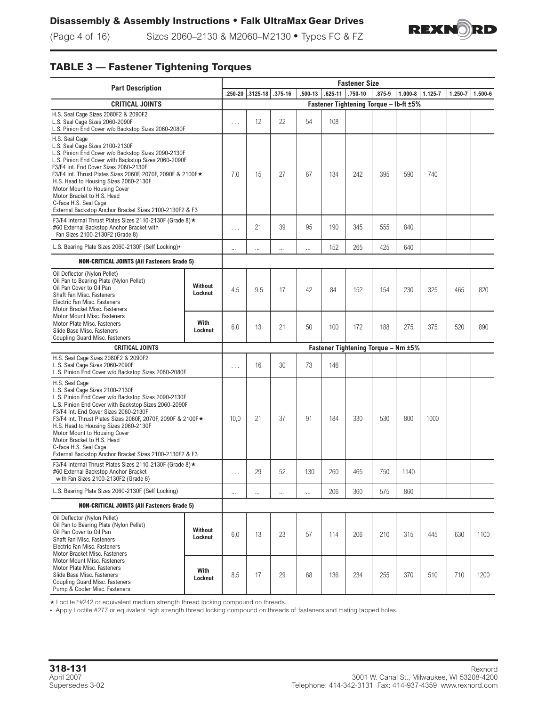

(Page 4 of 16) Sizes 2060–2130 & M2060–M2130 **•** Types FC & FZ

# **TABLE 3 — Fastener Tightening Torques**

| <b>Part Description</b>                                                                                                                                                                                                                                                                                                                                                                                                                                              |                                        |          |                  |             |             | <b>Fastener Size</b> |                                     |        |             |         |         |         |
|----------------------------------------------------------------------------------------------------------------------------------------------------------------------------------------------------------------------------------------------------------------------------------------------------------------------------------------------------------------------------------------------------------------------------------------------------------------------|----------------------------------------|----------|------------------|-------------|-------------|----------------------|-------------------------------------|--------|-------------|---------|---------|---------|
|                                                                                                                                                                                                                                                                                                                                                                                                                                                                      |                                        |          | .250-20 .3125-18 | $.375 - 16$ | $.500 - 13$ | $.625 - 11$          | $.750 - 10$                         | .875-9 | $1.000 - 8$ | 1.125-7 | 1.250-7 | 1.500-6 |
| <b>CRITICAL JOINTS</b>                                                                                                                                                                                                                                                                                                                                                                                                                                               | Fastener Tightening Torque - lb-ft ±5% |          |                  |             |             |                      |                                     |        |             |         |         |         |
| H.S. Seal Cage Sizes 2080F2 & 2090F2<br>L.S. Seal Cage Sizes 2060-2090F<br>L.S. Pinion End Cover w/o Backstop Sizes 2060-2080F                                                                                                                                                                                                                                                                                                                                       | .                                      | 12       | 22               | 54          | 108         |                      |                                     |        |             |         |         |         |
| H.S. Seal Cage<br>L.S. Seal Cage Sizes 2100-2130F<br>L.S. Pinion End Cover w/o Backstop Sizes 2090-2130F<br>L.S. Pinion End Cover with Backstop Sizes 2060-2090F<br>F3/F4 Int. End Cover Sizes 2060-2130F<br>F3/F4 Int. Thrust Plates Sizes 2060F, 2070F, 2090F & 2100F ★<br>H.S. Head to Housing Sizes 2060-2130F<br>Motor Mount to Housing Cover<br>Motor Bracket to H.S. Head<br>C-Face H.S. Seal Cage<br>External Backstop Anchor Bracket Sizes 2100-2130F2 & F3 | 7.0                                    | 15       | 27               | 67          | 134         | 242                  | 395                                 | 590    | 740         |         |         |         |
| F3/F4 Internal Thrust Plates Sizes 2110-2130F (Grade 8) ★<br>#60 External Backstop Anchor Bracket with<br>Fan Sizes 2100-2130F2 (Grade 8)                                                                                                                                                                                                                                                                                                                            |                                        | .        | 21               | 39          | 95          | 190                  | 345                                 | 555    | 840         |         |         |         |
| L.S. Bearing Plate Sizes 2060-2130F (Self Locking).                                                                                                                                                                                                                                                                                                                                                                                                                  |                                        |          |                  |             |             | 152                  | 265                                 | 425    | 640         |         |         |         |
| <b>NON-CRITICAL JOINTS (All Fasteners Grade 5)</b>                                                                                                                                                                                                                                                                                                                                                                                                                   |                                        |          |                  |             |             |                      |                                     |        |             |         |         |         |
| Oil Deflector (Nylon Pellet)<br>Oil Pan to Bearing Plate (Nylon Pellet)<br>Oil Pan Cover to Oil Pan<br>Shaft Fan Misc. Fasteners<br>Electric Fan Misc. Fasteners<br>Motor Bracket Misc. Fasteners                                                                                                                                                                                                                                                                    | Without<br>Locknut                     | 4.5      | 9.5              | 17          | 42          | 84                   | 152                                 | 154    | 230         | 325     | 465     | 820     |
| Motor Mount Misc. Fasteners<br>Motor Plate Misc. Fasteners<br>Slide Base Misc. Fasteners<br>Coupling Guard Misc. Fasteners                                                                                                                                                                                                                                                                                                                                           | With<br>Locknut                        | 6.0      | 13               | 21          | 50          | 100                  | 172                                 | 188    | 275         | 375     | 520     | 890     |
| <b>CRITICAL JOINTS</b>                                                                                                                                                                                                                                                                                                                                                                                                                                               |                                        |          |                  |             |             |                      | Fastener Tightening Torque - Nm ±5% |        |             |         |         |         |
| H.S. Seal Cage Sizes 2080F2 & 2090F2<br>L.S. Seal Cage Sizes 2060-2090F<br>L.S. Pinion End Cover w/o Backstop Sizes 2060-2080F                                                                                                                                                                                                                                                                                                                                       |                                        | .        | 16               | 30          | 73          | 146                  |                                     |        |             |         |         |         |
| H.S. Seal Cage<br>L.S. Seal Cage Sizes 2100-2130F<br>L.S. Pinion End Cover w/o Backstop Sizes 2090-2130F<br>L.S. Pinion End Cover with Backstop Sizes 2060-2090F<br>F3/F4 Int. End Cover Sizes 2060-2130F<br>F3/F4 Int. Thrust Plates Sizes 2060F, 2070F, 2090F & 2100F ★<br>H.S. Head to Housing Sizes 2060-2130F<br>Motor Mount to Housing Cover<br>Motor Bracket to H.S. Head<br>C-Face H.S. Seal Cage<br>External Backstop Anchor Bracket Sizes 2100-2130F2 & F3 |                                        |          | 21               | 37          | 91          | 184                  | 330                                 | 530    | 800         | 1000    |         |         |
| F3/F4 Internal Thrust Plates Sizes 2110-2130F (Grade 8) ★<br>#60 External Backstop Anchor Bracket<br>with Fan Sizes 2100-2130F2 (Grade 8)                                                                                                                                                                                                                                                                                                                            |                                        |          | 29               | 52          | 130         | 260                  | 465                                 | 750    | 1140        |         |         |         |
| L.S. Bearing Plate Sizes 2060-2130F (Self Locking)                                                                                                                                                                                                                                                                                                                                                                                                                   |                                        | $\cdots$ | $\cdots$         | $\cdots$    |             | 206                  | 360                                 | 575    | 860         |         |         |         |
| <b>NON-CRITICAL JOINTS (All Fasteners Grade 5)</b>                                                                                                                                                                                                                                                                                                                                                                                                                   |                                        |          |                  |             |             |                      |                                     |        |             |         |         |         |
| Oil Deflector (Nylon Pellet)<br>Oil Pan to Bearing Plate (Nylon Pellet)<br>Oil Pan Cover to Oil Pan<br>Shaft Fan Misc. Fasteners<br>Electric Fan Misc. Fasteners<br>Motor Bracket Misc. Fasteners                                                                                                                                                                                                                                                                    | Without<br>Locknut                     | 6,0      | 13               | 23          | 57          | 114                  | 206                                 | 210    | 315         | 445     | 630     | 1100    |
| Motor Mount Misc. Fasteners<br>Motor Plate Misc. Fasteners<br>Slide Base Misc. Fasteners<br>Coupling Guard Misc. Fasteners<br>Pump & Cooler Misc. Fasteners                                                                                                                                                                                                                                                                                                          | With<br>Locknut                        | 8,5      | 17               | 29          | 68          | 136                  | 234                                 | 255    | 370         | 510     | 710     | 1200    |

 $\star$  Loctite  $\textdegree$ #242 or equivalent medium strength thread locking compound on threads.

**•** Apply Loctite #277 or equivalent high strength thread locking compound on threads of fasteners and mating tapped holes.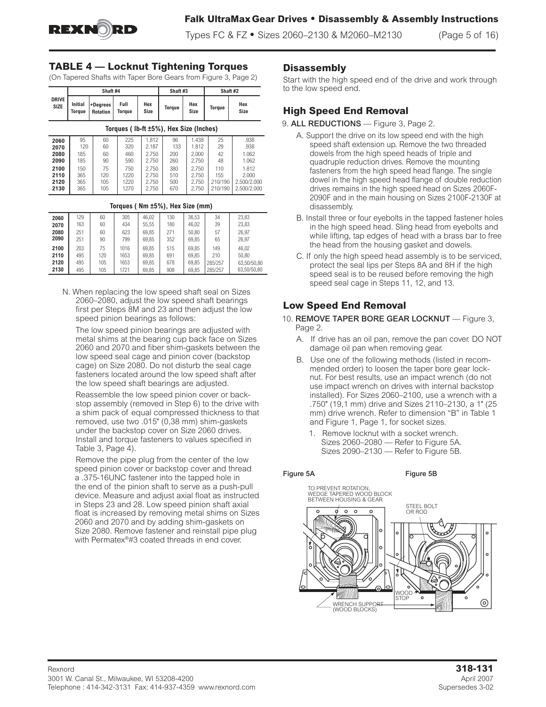

Types FC & FZ **•** Sizes 2060–2130 & M2060–M2130 (Page 5 of 16)

## **TABLE 4 — Locknut Tightening Torques**

(On Tapered Shafts with Taper Bore Gears from Figure 3, Page 2)

|                                        |                          | Shaft #4                    |                   |                         | Shaft #3         |                         | Shaft #2       |                       |  |  |  |  |  |  |
|----------------------------------------|--------------------------|-----------------------------|-------------------|-------------------------|------------------|-------------------------|----------------|-----------------------|--|--|--|--|--|--|
| <b>DRIVE</b><br><b>SIZE</b>            | <b>Initial</b><br>Toraue | +Degrees<br><b>Rotation</b> | Full<br>Torque    | Hex<br>Size             | Torque           | Hex<br>Size             | Torque         | Hex<br>Size           |  |  |  |  |  |  |
| Torques (Ib-ft ±5%), Hex Size (Inches) |                          |                             |                   |                         |                  |                         |                |                       |  |  |  |  |  |  |
| 2060<br>2070<br>2080                   | 95<br>120<br>185         | 60<br>60<br>60              | 225<br>320<br>460 | 1.812<br>2.187<br>2.750 | 96<br>133<br>200 | 1.438<br>1.812<br>2.000 | 25<br>29<br>42 | .938<br>.938<br>1.062 |  |  |  |  |  |  |
| 2090                                   | 185                      | 90                          | 590               | 2.750                   | 260              | 2.750                   | 48             | 1.062                 |  |  |  |  |  |  |

2.750 2.750 2.750 2.750

## **Torques ( Nm ±5%), Hex Size (mm)**

2.750 2.750 2.750 2.750

110 155 210/190 210/190

 1.812 2.000 2.500/2.000 2.500/2.000

| 2060 | 129 | 60  | 305  | 46.02 | 130 | 36.53 | 34      | 23,83       |
|------|-----|-----|------|-------|-----|-------|---------|-------------|
| 2070 | 163 | 60  | 434  | 55,55 | 180 | 46,02 | 39      | 23,83       |
| 2080 | 251 | 60  | 623  | 69.85 | 271 | 50.80 | 57      | 26.97       |
| 2090 | 251 | 90  | 799  | 69,85 | 352 | 69,85 | 65      | 26,97       |
| 2100 | 203 | 75  | 1016 | 69.85 | 515 | 69.85 | 149     | 46.02       |
| 2110 | 495 | 120 | 1653 | 69.85 | 691 | 69.85 | 210     | 50.80       |
| 2120 | 495 | 105 | 1653 | 69.85 | 678 | 69.85 | 285/257 | 63.50/50.80 |
| 2130 | 495 | 105 | 1721 | 69,85 | 908 | 69,85 | 285/257 | 63.50/50.80 |

N. When replacing the low speed shaft seal on Sizes 2060–2080, adjust the low speed shaft bearings first per Steps 8M and 23 and then adjust the low speed pinion bearings as follows:

The low speed pinion bearings are adjusted with metal shims at the bearing cup back face on Sizes 2060 and 2070 and fiber shim-gaskets between the low speed seal cage and pinion cover (backstop cage) on Size 2080. Do not disturb the seal cage fasteners located around the low speed shaft after the low speed shaft bearings are adjusted.

Reassemble the low speed pinion cover or backstop assembly (removed in Step 6) to the drive with a shim pack of equal compressed thickness to that removed, use two .015" (0,38 mm) shim-gaskets under the backstop cover on Size 2060 drives. Install and torque fasteners to values specified in Table 3, Page 4).

Remove the pipe plug from the center of the low speed pinion cover or backstop cover and thread a .375-16UNC fastener into the tapped hole in the end of the pinion shaft to serve as a push-pull device. Measure and adjust axial float as instructed in Steps 23 and 28. Low speed pinion shaft axial float is increased by removing metal shims on Sizes 2060 and 2070 and by adding shim-gaskets on Size 2080. Remove fastener and reinstall pipe plug with Permatex®#3 coated threads in end cover.

## **Disassembly**

Start with the high speed end of the drive and work through to the low speed end.

## **High Speed End Removal**

#### 9. ALL REDUCTIONS — Figure 3, Page 2.

- A. Support the drive on its low speed end with the high speed shaft extension up. Remove the two threaded dowels from the high speed heads of triple and quadruple reduction drives. Remove the mounting fasteners from the high speed head flange. The single dowel in the high speed head flange of double reduction drives remains in the high speed head on Sizes 2060F-2090F and in the main housing on Sizes 2100F-2130F at disassembly.
- B. Install three or four eyebolts in the tapped fastener holes in the high speed head. Sling head from eyebolts and while lifting, tap edges of head with a brass bar to free the head from the housing gasket and dowels.
- C. If only the high speed head assembly is to be serviced, protect the seal lips per Steps 8A and 8H if the high speed seal is to be reused before removing the high speed seal cage in Steps 11, 12, and 13.

## **Low Speed End Removal**

10. REMOVE TAPER BORE GEAR LOCKNUT — Figure 3, Page 2.

- A. If drive has an oil pan, remove the pan cover. DO NOT damage oil pan when removing gear.
- B. Use one of the following methods (listed in recommended order) to loosen the taper bore gear locknut. For best results, use an impact wrench (do not use impact wrench on drives with internal backstop installed). For Sizes 2060–2100, use a wrench with a .750" (19,1 mm) drive and Sizes 2110–2130, a 1" (25 mm) drive wrench. Refer to dimension "B" in Table 1 and Figure 1, Page 1, for socket sizes.
	- 1. Remove locknut with a socket wrench. Sizes 2060–2080 — Refer to Figure 5A. Sizes 2090–2130 — Refer to Figure 5B.

#### Figure 5A Figure 5B

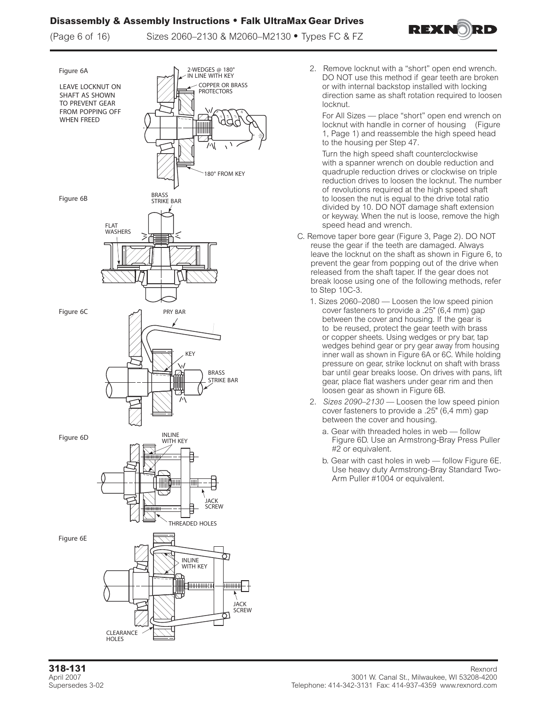## **Disassembly & Assembly Instructions • Falk UltraMax Gear Drives**

(Page 6 of 16) Sizes 2060–2130 & M2060–M2130 **•** Types FC & FZ





- 2. Remove locknut with a "short" open end wrench. DO NOT use this method if gear teeth are broken or with internal backstop installed with locking direction same as shaft rotation required to loosen locknut.
	- For All Sizes place "short" open end wrench on locknut with handle in corner of housing (Figure 1, Page 1) and reassemble the high speed head to the housing per Step 47.

Turn the high speed shaft counterclockwise with a spanner wrench on double reduction and quadruple reduction drives or clockwise on triple reduction drives to loosen the locknut. The number of revolutions required at the high speed shaft to loosen the nut is equal to the drive total ratio divided by 10. DO NOT damage shaft extension or keyway. When the nut is loose, remove the high speed head and wrench.

- C. Remove taper bore gear (Figure 3, Page 2). DO NOT reuse the gear if the teeth are damaged. Always leave the locknut on the shaft as shown in Figure 6, to prevent the gear from popping out of the drive when released from the shaft taper. If the gear does not break loose using one of the following methods, refer to Step 10C-3.
	- 1. Sizes 2060–2080 Loosen the low speed pinion cover fasteners to provide a .25" (6,4 mm) gap between the cover and housing. If the gear is to be reused, protect the gear teeth with brass or copper sheets. Using wedges or pry bar, tap wedges behind gear or pry gear away from housing inner wall as shown in Figure 6A or 6C. While holding pressure on gear, strike locknut on shaft with brass bar until gear breaks loose. On drives with pans, lift gear, place flat washers under gear rim and then loosen gear as shown in Figure 6B.
	- 2. *Sizes 2090–2130 —* Loosen the low speed pinion cover fasteners to provide a .25" (6,4 mm) gap between the cover and housing.
		- a. Gear with threaded holes in web follow Figure 6D. Use an Armstrong-Bray Press Puller #2 or equivalent.
		- b. Gear with cast holes in web follow Figure 6E. Use heavy duty Armstrong-Bray Standard Two-Arm Puller #1004 or equivalent.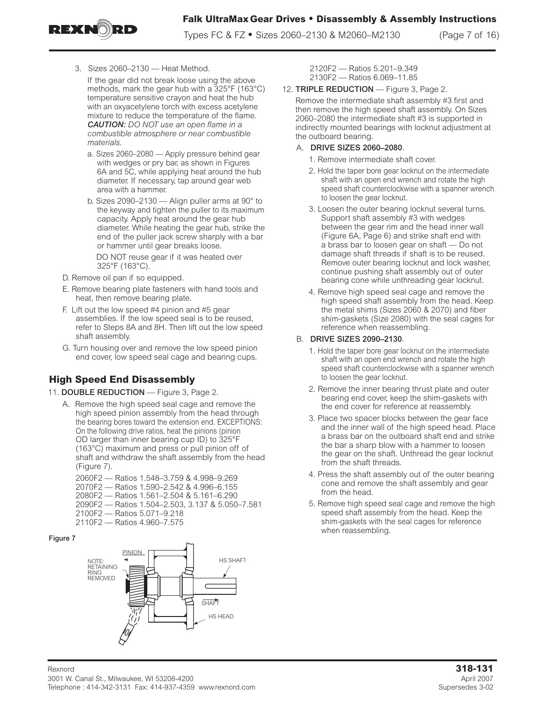

Types FC & FZ **•** Sizes 2060–2130 & M2060–M2130 (Page 7 of 16)

3. Sizes 2060–2130 — Heat Method.

If the gear did not break loose using the above methods, mark the gear hub with a 325°F (163°C) temperature sensitive crayon and heat the hub with an oxyacetylene torch with excess acetylene mixture to reduce the temperature of the flame. *CAUTION: DO NOT use an open flame in a combustible atmosphere or near combustible materials.* 

- a. Sizes 2060–2080 Apply pressure behind gear with wedges or pry bar, as shown in Figures 6A and 5C, while applying heat around the hub diameter. If necessary, tap around gear web area with a hammer.
- b. Sizes 2090–2130 Align puller arms at 90° to the keyway and tighten the puller to its maximum capacity. Apply heat around the gear hub diameter. While heating the gear hub, strike the end of the puller jack screw sharply with a bar or hammer until gear breaks loose.

DO NOT reuse gear if it was heated over 325°F (163°C).

- D. Remove oil pan if so equipped.
- E. Remove bearing plate fasteners with hand tools and heat, then remove bearing plate.
- F. Lift out the low speed #4 pinion and #5 gear assemblies. If the low speed seal is to be reused, refer to Steps 8A and 8H. Then lift out the low speed shaft assembly.
- G. Turn housing over and remove the low speed pinion end cover, low speed seal cage and bearing cups.

# **High Speed End Disassembly**

### 11. DOUBLE REDUCTION - Figure 3, Page 2.

A. Remove the high speed seal cage and remove the high speed pinion assembly from the head through the bearing bores toward the extension end. EXCEPTIONS: On the following drive ratios, heat the pinions (pinion OD larger than inner bearing cup ID) to 325°F (163°C) maximum and press or pull pinion off of shaft and withdraw the shaft assembly from the head (Figure 7).

2060F2 — Ratios 1.548–3.759 & 4.998–9.269 2070F2 — Ratios 1.590–2.542 & 4.996–6.155 2080F2 — Ratios 1.561–2.504 & 5.161–6.290 2090F2 — Ratios 1.504–2.503, 3.137 & 5.050–7.581 2100F2 — Ratios 5.071–9.218 2110F2 — Ratios 4.960–7.575

### Figure 7



2120F2 — Ratios 5.201–9.349 2130F2 — Ratios 6.069–11.85

## 12. TRIPLE REDUCTION - Figure 3, Page 2.

Remove the intermediate shaft assembly #3 first and then remove the high speed shaft assembly. On Sizes 2060–2080 the intermediate shaft #3 is supported in indirectly mounted bearings with locknut adjustment at the outboard bearing.

### A. DRIVE SIZES 2060–2080.

- 1. Remove intermediate shaft cover.
- 2. Hold the taper bore gear locknut on the intermediate shaft with an open end wrench and rotate the high speed shaft counterclockwise with a spanner wrench to loosen the gear locknut.
- 3. Loosen the outer bearing locknut several turns. Support shaft assembly #3 with wedges between the gear rim and the head inner wall (Figure 6A, Page 6) and strike shaft end with a brass bar to loosen gear on shaft — Do not damage shaft threads if shaft is to be reused. Remove outer bearing locknut and lock washer, continue pushing shaft assembly out of outer bearing cone while unthreading gear locknut.
- 4. Remove high speed seal cage and remove the high speed shaft assembly from the head. Keep the metal shims (Sizes 2060 & 2070) and fiber shim-gaskets (Size 2080) with the seal cages for reference when reassembling.

## B. DRIVE SIZES 2090–2130.

- 1. Hold the taper bore gear locknut on the intermediate shaft with an open end wrench and rotate the high speed shaft counterclockwise with a spanner wrench to loosen the gear locknut.
- 2. Remove the inner bearing thrust plate and outer bearing end cover, keep the shim-gaskets with the end cover for reference at reassembly.
- 3. Place two spacer blocks between the gear face and the inner wall of the high speed head. Place a brass bar on the outboard shaft end and strike the bar a sharp blow with a hammer to loosen the gear on the shaft. Unthread the gear locknut from the shaft threads.
- 4. Press the shaft assembly out of the outer bearing cone and remove the shaft assembly and gear from the head.
- 5. Remove high speed seal cage and remove the high speed shaft assembly from the head. Keep the shim-gaskets with the seal cages for reference when reassembling.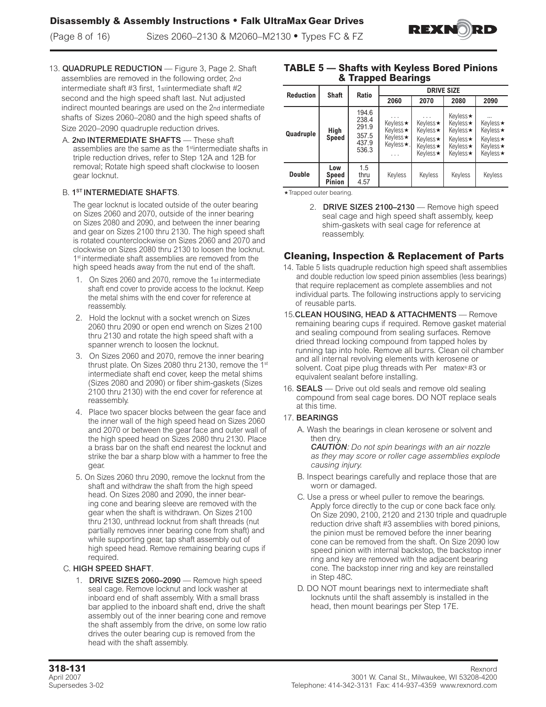

- 13. QUADRUPLE REDUCTION Figure 3, Page 2. Shaft assemblies are removed in the following order, 2nd intermediate shaft #3 first, 1stintermediate shaft #2 second and the high speed shaft last. Nut adjusted indirect mounted bearings are used on the 2nd intermediate shafts of Sizes 2060–2080 and the high speed shafts of Size 2020–2090 quadruple reduction drives.
	- A. 2ND INTERMEDIATE SHAFTS These shaft assemblies are the same as the 1<sup>st</sup>intermediate shafts in triple reduction drives, refer to Step 12A and 12B for removal; Rotate high speed shaft clockwise to loosen gear locknut.

### B. 1<sup>ST</sup> INTERMEDIATE SHAFTS.

The gear locknut is located outside of the outer bearing on Sizes 2060 and 2070, outside of the inner bearing on Sizes 2080 and 2090, and between the inner bearing and gear on Sizes 2100 thru 2130. The high speed shaft is rotated counterclockwise on Sizes 2060 and 2070 and clockwise on Sizes 2080 thru 2130 to loosen the locknut. 1<sup>st</sup> intermediate shaft assemblies are removed from the high speed heads away from the nut end of the shaft.

- 1. On Sizes 2060 and 2070, remove the 1st intermediate shaft end cover to provide access to the locknut. Keep the metal shims with the end cover for reference at reassembly.
- 2. Hold the locknut with a socket wrench on Sizes 2060 thru 2090 or open end wrench on Sizes 2100 thru 2130 and rotate the high speed shaft with a spanner wrench to loosen the locknut.
- 3. On Sizes 2060 and 2070, remove the inner bearing thrust plate. On Sizes 2080 thru 2130, remove the 1<sup>st</sup> intermediate shaft end cover, keep the metal shims (Sizes 2080 and 2090) or fiber shim-gaskets (Sizes 2100 thru 2130) with the end cover for reference at reassembly.
- 4. Place two spacer blocks between the gear face and the inner wall of the high speed head on Sizes 2060 and 2070 or between the gear face and outer wall of the high speed head on Sizes 2080 thru 2130. Place a brass bar on the shaft end nearest the locknut and strike the bar a sharp blow with a hammer to free the gear.
- 5. On Sizes 2060 thru 2090, remove the locknut from the shaft and withdraw the shaft from the high speed head. On Sizes 2080 and 2090, the inner bearing cone and bearing sleeve are removed with the gear when the shaft is withdrawn. On Sizes 2100 thru 2130, unthread locknut from shaft threads (nut partially removes inner bearing cone from shaft) and while supporting gear, tap shaft assembly out of high speed head. Remove remaining bearing cups if required.

### C. HIGH SPEED SHAFT.

1. DRIVE SIZES 2060–2090 — Remove high speed seal cage. Remove locknut and lock washer at inboard end of shaft assembly. With a small brass bar applied to the inboard shaft end, drive the shaft assembly out of the inner bearing cone and remove the shaft assembly from the drive, on some low ratio drives the outer bearing cup is removed from the head with the shaft assembly.

## **TABLE 5 — Shafts with Keyless Bored Pinions & Trapped Bearings**

| <b>Reduction</b> | <b>Shaft</b>           | <b>Ratio</b>                                       | <b>DRIVE SIZE</b>                                                                |                                                               |                                                                      |                                                                       |  |  |  |  |  |
|------------------|------------------------|----------------------------------------------------|----------------------------------------------------------------------------------|---------------------------------------------------------------|----------------------------------------------------------------------|-----------------------------------------------------------------------|--|--|--|--|--|
|                  |                        |                                                    | 2060                                                                             | 2070                                                          | 2080                                                                 | 2090                                                                  |  |  |  |  |  |
| Quadruple        | High<br>Speed          | 194.6<br>238.4<br>291.9<br>357.5<br>437.9<br>536.3 | .<br>Keyless★<br>Keyless <b>★</b><br>Keyless <b>★</b><br>Keyless <b>★</b> .<br>. | .<br>Keyless★<br>Keyless★<br>Keyless★<br>Keyless★<br>Keyless★ | Keyless★<br>Keyless★<br>Keyless★<br>Keyless★<br>Keyless★<br>Keyless★ | $\ddotsc$<br>Keyless★<br>Keyless★<br>Keyless★<br>Keyless★<br>Keyless★ |  |  |  |  |  |
| <b>Double</b>    | Low<br>Speed<br>Pinion | 1.5<br>thru<br>4.57                                | Keyless                                                                          | Keyless                                                       | Keyless                                                              | Keyless                                                               |  |  |  |  |  |

\* Trapped outer bearing.

2. DRIVE SIZES 2100–2130 — Remove high speed seal cage and high speed shaft assembly, keep shim-gaskets with seal cage for reference at reassembly.

## **Cleaning, Inspection & Replacement of Parts**

- 14. Table 5 lists quadruple reduction high speed shaft assemblies and double reduction low speed pinion assemblies (less bearings) that require replacement as complete assemblies and not individual parts. The following instructions apply to servicing of reusable parts.
- 15.CLEAN HOUSING, HEAD & ATTACHMENTS Remove remaining bearing cups if required. Remove gasket material and sealing compound from sealing surfaces. Remove dried thread locking compound from tapped holes by running tap into hole. Remove all burrs. Clean oil chamber and all internal revolving elements with kerosene or solvent. Coat pipe plug threads with Per matex® #3 or equivalent sealant before installing.
- 16. **SEALS** Drive out old seals and remove old sealing compound from seal cage bores. DO NOT replace seals at this time.
- 17. BEARINGS
	- A. Wash the bearings in clean kerosene or solvent and then dry.

*CAUTION: Do not spin bearings with an air nozzle as they may score or roller cage assemblies explode causing injury.* 

- B. Inspect bearings carefully and replace those that are worn or damaged.
- C. Use a press or wheel puller to remove the bearings. Apply force directly to the cup or cone back face only. On Size 2090, 2100, 2120 and 2130 triple and quadruple reduction drive shaft #3 assemblies with bored pinions, the pinion must be removed before the inner bearing cone can be removed from the shaft. On Size 2090 low speed pinion with internal backstop, the backstop inner ring and key are removed with the adjacent bearing cone. The backstop inner ring and key are reinstalled in Step 48C.
- D. DO NOT mount bearings next to intermediate shaft locknuts until the shaft assembly is installed in the head, then mount bearings per Step 17E.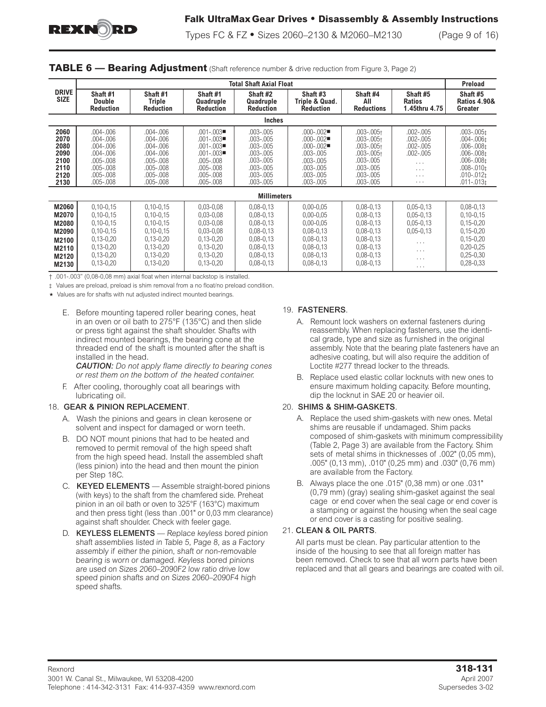

Types FC & FZ **•** Sizes 2060–2130 & M2060–M2130 (Page 9 of 16)

|                                                                      |                                                                                                                              |                                                                                                                      |                                                                                                                            | <b>Total Shaft Axial Float</b>                                                                                                       |                                                                                                                                    |                                                                                                                                              |                                                                                                    | <b>Preload</b>                                                                                                                                             |
|----------------------------------------------------------------------|------------------------------------------------------------------------------------------------------------------------------|----------------------------------------------------------------------------------------------------------------------|----------------------------------------------------------------------------------------------------------------------------|--------------------------------------------------------------------------------------------------------------------------------------|------------------------------------------------------------------------------------------------------------------------------------|----------------------------------------------------------------------------------------------------------------------------------------------|----------------------------------------------------------------------------------------------------|------------------------------------------------------------------------------------------------------------------------------------------------------------|
| <b>DRIVE</b><br><b>SIZE</b>                                          | Shaft #1<br><b>Double</b><br><b>Reduction</b>                                                                                | Shaft #1<br><b>Triple</b><br><b>Reduction</b>                                                                        | Shaft #1<br>Quadruple<br><b>Reduction</b>                                                                                  | Shaft #2<br>Quadruple<br><b>Reduction</b>                                                                                            | Shaft #3<br>Triple & Quad.<br><b>Reduction</b>                                                                                     | Shaft #4<br>AII<br><b>Reductions</b>                                                                                                         | Shaft #5<br><b>Ratios</b><br>1.45thru 4.75                                                         | Shaft #5<br><b>Ratios 4.90&amp;</b><br>Greater                                                                                                             |
|                                                                      |                                                                                                                              |                                                                                                                      |                                                                                                                            | <b>Inches</b>                                                                                                                        |                                                                                                                                    |                                                                                                                                              |                                                                                                    |                                                                                                                                                            |
| 2060<br>2070<br>2080<br>2090<br>2100<br>2110<br>2120<br>2130         | $.004 - .006$<br>$.004 - .006$<br>$.004 - .006$<br>.004-.006<br>$.005 - .008$<br>$.005 - .008$<br>.005-.008<br>.005-.008     | $.004 - .006$<br>$.004 - .006$<br>$.004 - .006$<br>$.004 - .006$<br>.005-.008<br>.005-.008<br>.005-.008<br>.005-.008 | $.001 - .003$<br>$.001 - .003$<br>$.001 - .003$<br>$.001 - .003$<br>.005-.008<br>$.005 - .008$<br>.005-.008<br>.005-.008   | $.003 - .005$<br>$.003 - .005$<br>$.003 - .005$<br>$.003 - .005$<br>$.003 - .005$<br>$.003 - .005$<br>$.003 - .005$<br>$.003 - .005$ | $.000 - .002$<br>$.000 - .002$<br>$.000 - .002$<br>.003-.005<br>$.003 - .005$<br>$.003 - .005$<br>$.003 - .005$<br>$.003 - .005$   | $.003 - .005 +$<br>$.003 - .005 +$<br>$.003 - .005 +$<br>$.003 - .005 +$<br>$.003 - .005$<br>$.003 - .005$<br>$.003 - .005$<br>$.003 - .005$ | $.002 - .005$<br>$.002 - .005$<br>$.002 - .005$<br>$.002 - .005$<br>.<br>.<br>$\cdots$<br>$\cdots$ | $.003 - .005 \pm .0005$<br>$.004 - .006 \pm$<br>$.006 - .008‡$<br>$.006 - .008‡$<br>$.006 - 008‡$<br>$.008 - .010‡$<br>$.010 - .012t$<br>$.011 - .013 \pm$ |
|                                                                      |                                                                                                                              |                                                                                                                      |                                                                                                                            | <b>Millimeters</b>                                                                                                                   |                                                                                                                                    |                                                                                                                                              |                                                                                                    |                                                                                                                                                            |
| M2060<br>M2070<br>M2080<br>M2090<br>M2100<br>M2110<br>M2120<br>M2130 | $0,10-0,15$<br>$0, 10 - 0, 15$<br>$0,10-0,15$<br>$0, 10 - 0, 15$<br>$0,13-0,20$<br>$0,13-0,20$<br>$0,13-0,20$<br>$0,13-0,20$ | $0,10-0,15$<br>$0,10-0,15$<br>$0,10-0,15$<br>$0,10-0,15$<br>$0,13-0,20$<br>$0,13-0,20$<br>$0,13-0,20$<br>$0,13-0,20$ | $0,03 - 0,08$<br>$0,03 - 0,08$<br>$0,03 - 0,08$<br>$0,03-0,08$<br>$0,13-0,20$<br>$0,13-0,20$<br>$0,13-0,20$<br>$0,13-0,20$ | $0,08 - 0,13$<br>$0,08 - 0,13$<br>$0,08 - 0,13$<br>$0,08 - 0,13$<br>$0,08 - 0,13$<br>$0,08 - 0,13$<br>$0,08 - 0,13$<br>$0,08 - 0,13$ | $0,00 - 0,05$<br>$0,00 - 0,05$<br>$0,00-0,05$<br>$0,08 - 0,13$<br>$0,08 - 0,13$<br>$0,08 - 0,13$<br>$0,08 - 0,13$<br>$0,08 - 0,13$ | $0,08 - 0,13$<br>$0,08 - 0,13$<br>$0,08 - 0,13$<br>$0,08 - 0,13$<br>$0,08 - 0,13$<br>$0,08 - 0,13$<br>$0,08 - 0,13$<br>$0,08 - 0,13$         | $0,05 - 0,13$<br>$0,05 - 0,13$<br>$0,05 - 0,13$<br>$0,05 - 0,13$<br>$\cdots$<br>.<br>$\cdots$<br>. | $0,08 - 0,13$<br>$0,10-0,15$<br>$0,15-0,20$<br>$0,15-0,20$<br>$0, 15 - 0, 20$<br>$0,20-0,25$<br>$0,25-0,30$<br>$0,28-0,33$                                 |

#### **TABLE 6 — Bearing Adjustment** (Shaft reference number & drive reduction from Figure 3, Page 2)

† .001-.003" (0,08-0,08 mm) axial float when internal backstop is installed.

‡ Values are preload, preload is shim removal from a no float/no preload condition.

Values are for shafts with nut adjusted indirect mounted bearings.

E. Before mounting tapered roller bearing cones, heat in an oven or oil bath to 275°F (135°C) and then slide or press tight against the shaft shoulder. Shafts with indirect mounted bearings, the bearing cone at the threaded end of the shaft is mounted after the shaft is installed in the head.

*CAUTION: Do not apply flame directly to bearing cones or rest them on the bottom of the heated container.* 

F. After cooling, thoroughly coat all bearings with lubricating oil.

#### 18. GEAR & PINION REPLACEMENT.

- A. Wash the pinions and gears in clean kerosene or solvent and inspect for damaged or worn teeth.
- B. DO NOT mount pinions that had to be heated and removed to permit removal of the high speed shaft from the high speed head. Install the assembled shaft (less pinion) into the head and then mount the pinion per Step 18C.
- C. KEYED ELEMENTS Assemble straight-bored pinions (with keys) to the shaft from the chamfered side. Preheat pinion in an oil bath or oven to 325°F (163°C) maximum and then press tight (less than .001" or 0,03 mm clearance) against shaft shoulder. Check with feeler gage.
- D. KEYLESS ELEMENTS Replace keyless bored pinion shaft assemblies listed in Table 5, Page 8, as a Factory assembly if either the pinion, shaft or non-removable bearing is worn or damaged. Keyless bored pinions are used on Sizes 2060–2090F2 low ratio drive low speed pinion shafts and on Sizes 2060–2090F4 high speed shafts.

#### 19. FASTENERS.

- A. Remount lock washers on external fasteners during reassembly. When replacing fasteners, use the identical grade, type and size as furnished in the original assembly. Note that the bearing plate fasteners have an adhesive coating, but will also require the addition of Loctite #277 thread locker to the threads.
- B. Replace used elastic collar locknuts with new ones to ensure maximum holding capacity. Before mounting, dip the locknut in SAE 20 or heavier oil.

#### 20. SHIMS & SHIM-GASKETS.

- A. Replace the used shim-gaskets with new ones. Metal shims are reusable if undamaged. Shim packs composed of shim-gaskets with minimum compressibility (Table 2, Page 3) are available from the Factory. Shim sets of metal shims in thicknesses of .002" (0,05 mm), .005" (0,13 mm), .010" (0,25 mm) and .030" (0,76 mm) are available from the Factory.
- B. Always place the one .015" (0,38 mm) or one .031" (0,79 mm) (gray) sealing shim-gasket against the seal cage or end cover when the seal cage or end cover is a stamping or against the housing when the seal cage or end cover is a casting for positive sealing.

#### 21. CLEAN & OIL PARTS.

All parts must be clean. Pay particular attention to the inside of the housing to see that all foreign matter has been removed. Check to see that all worn parts have been replaced and that all gears and bearings are coated with oil.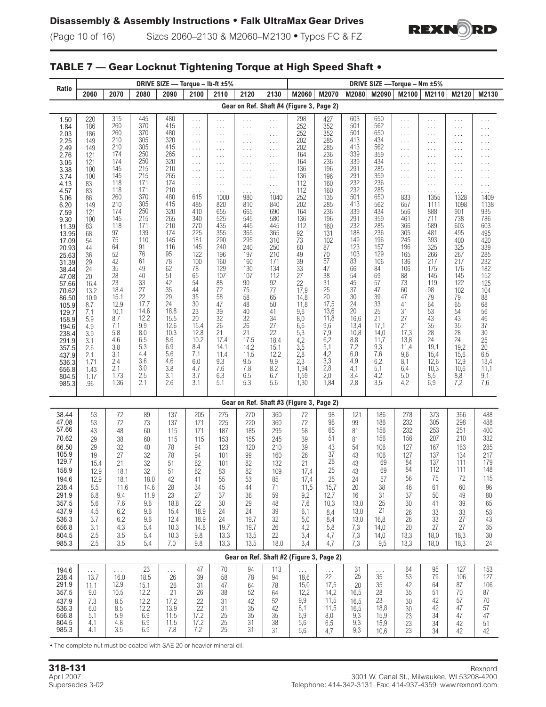

# **TABLE 7 — Gear Locknut Tightening Torque at High Speed Shaft**

| Ratio                                                                                                                                                                                                                                                                                                                               | DRIVE SIZE - Torque - Ib-ft ±5%                                                                                                                                                                                                                                   |                                                                                                                                                                                                                                                                      |                                                                                                                                                                                                                                                                   |                                                                                                                                                                                                                                                                    |                                                                                                                                                                                                                                                                                                                                                       |                                                                                                                                                                                                                                                                                                                                                                                                                                                       |                                                                                                                                                                                                                                                                                       |                                                                                                                                                                                                                                                                                                                                                         |                                                                                                                                                                                                                                                                            |                                                                                                                                                                                                                                                                    | DRIVE SIZE - Torque - Nm ±5%                                                                                                                                                                                                                                      |                                                                                                                                                                                                                                                                       |                                                                                                                                                                                                                                                                                                                 |                                                                                                                                                                                                                                                                                                                             |                                                                                                                                                                                                                                                                                                                     |                                                                                                                                                                                                                                                                                                     |
|-------------------------------------------------------------------------------------------------------------------------------------------------------------------------------------------------------------------------------------------------------------------------------------------------------------------------------------|-------------------------------------------------------------------------------------------------------------------------------------------------------------------------------------------------------------------------------------------------------------------|----------------------------------------------------------------------------------------------------------------------------------------------------------------------------------------------------------------------------------------------------------------------|-------------------------------------------------------------------------------------------------------------------------------------------------------------------------------------------------------------------------------------------------------------------|--------------------------------------------------------------------------------------------------------------------------------------------------------------------------------------------------------------------------------------------------------------------|-------------------------------------------------------------------------------------------------------------------------------------------------------------------------------------------------------------------------------------------------------------------------------------------------------------------------------------------------------|-------------------------------------------------------------------------------------------------------------------------------------------------------------------------------------------------------------------------------------------------------------------------------------------------------------------------------------------------------------------------------------------------------------------------------------------------------|---------------------------------------------------------------------------------------------------------------------------------------------------------------------------------------------------------------------------------------------------------------------------------------|---------------------------------------------------------------------------------------------------------------------------------------------------------------------------------------------------------------------------------------------------------------------------------------------------------------------------------------------------------|----------------------------------------------------------------------------------------------------------------------------------------------------------------------------------------------------------------------------------------------------------------------------|--------------------------------------------------------------------------------------------------------------------------------------------------------------------------------------------------------------------------------------------------------------------|-------------------------------------------------------------------------------------------------------------------------------------------------------------------------------------------------------------------------------------------------------------------|-----------------------------------------------------------------------------------------------------------------------------------------------------------------------------------------------------------------------------------------------------------------------|-----------------------------------------------------------------------------------------------------------------------------------------------------------------------------------------------------------------------------------------------------------------------------------------------------------------|-----------------------------------------------------------------------------------------------------------------------------------------------------------------------------------------------------------------------------------------------------------------------------------------------------------------------------|---------------------------------------------------------------------------------------------------------------------------------------------------------------------------------------------------------------------------------------------------------------------------------------------------------------------|-----------------------------------------------------------------------------------------------------------------------------------------------------------------------------------------------------------------------------------------------------------------------------------------------------|
|                                                                                                                                                                                                                                                                                                                                     | 2060                                                                                                                                                                                                                                                              | 2070                                                                                                                                                                                                                                                                 | 2080                                                                                                                                                                                                                                                              | 2090                                                                                                                                                                                                                                                               | 2100                                                                                                                                                                                                                                                                                                                                                  | 2110                                                                                                                                                                                                                                                                                                                                                                                                                                                  | 2120                                                                                                                                                                                                                                                                                  | 2130                                                                                                                                                                                                                                                                                                                                                    | M2060                                                                                                                                                                                                                                                                      | M2070                                                                                                                                                                                                                                                              | M2080                                                                                                                                                                                                                                                             | M2090                                                                                                                                                                                                                                                                 | M2100                                                                                                                                                                                                                                                                                                           | M2110                                                                                                                                                                                                                                                                                                                       | M2120                                                                                                                                                                                                                                                                                                               | M2130                                                                                                                                                                                                                                                                                               |
|                                                                                                                                                                                                                                                                                                                                     | Gear on Ref. Shaft #4 (Figure 3, Page 2)                                                                                                                                                                                                                          |                                                                                                                                                                                                                                                                      |                                                                                                                                                                                                                                                                   |                                                                                                                                                                                                                                                                    |                                                                                                                                                                                                                                                                                                                                                       |                                                                                                                                                                                                                                                                                                                                                                                                                                                       |                                                                                                                                                                                                                                                                                       |                                                                                                                                                                                                                                                                                                                                                         |                                                                                                                                                                                                                                                                            |                                                                                                                                                                                                                                                                    |                                                                                                                                                                                                                                                                   |                                                                                                                                                                                                                                                                       |                                                                                                                                                                                                                                                                                                                 |                                                                                                                                                                                                                                                                                                                             |                                                                                                                                                                                                                                                                                                                     |                                                                                                                                                                                                                                                                                                     |
| 1.50<br>1.84<br>2.03<br>2.25<br>2.49<br>2.76<br>3.05<br>3.38<br>3.74<br>4.13<br>4.57<br>5.06<br>6.20<br>7.59<br>9.30<br>11.39<br>13.95<br>17.09<br>20.93<br>25.63<br>31.39<br>38.44<br>47.08<br>57.66<br>70.62<br>86.50<br>105.9<br>129.7<br>158.9<br>194.6<br>238.4<br>291.9<br>357.5<br>437.9<br>536.3<br>656.8<br>804.5<br>985.3 | 220<br>186<br>186<br>149<br>149<br>121<br>121<br>100<br>100<br>83<br>83<br>86<br>149<br>121<br>100<br>83<br>68<br>54<br>44<br>36<br>29<br>24<br>20<br>16.4<br>13.2<br>10.9<br>8.7<br>7.1<br>5.9<br>4.9<br>3.9<br>3.1<br>2.6<br>2.1<br>1.71<br>1.43<br>1.17<br>.96 | 315<br>260<br>260<br>210<br>210<br>174<br>174<br>145<br>145<br>118<br>118<br>260<br>210<br>174<br>145<br>118<br>97<br>75<br>64<br>52<br>42<br>35<br>28<br>23<br>18.4<br>15.1<br>12.9<br>10.1<br>8.7<br>7.1<br>5.8<br>4.6<br>3.8<br>3.1<br>2.4<br>2.1<br>1.73<br>1.36 | 445<br>370<br>370<br>305<br>305<br>250<br>250<br>215<br>215<br>171<br>171<br>370<br>305<br>250<br>215<br>171<br>139<br>110<br>91<br>76<br>61<br>49<br>40<br>33<br>27<br>22<br>17.7<br>14.6<br>12.2<br>9.9<br>8.0<br>6.5<br>5.3<br>4.4<br>3.6<br>3.0<br>2.5<br>2.1 | 480<br>415<br>480<br>320<br>415<br>265<br>320<br>210<br>265<br>174<br>210<br>480<br>415<br>320<br>265<br>210<br>174<br>145<br>116<br>95<br>78<br>62<br>51<br>42<br>35<br>29<br>24<br>18.8<br>15.5<br>12.6<br>10.3<br>8.6<br>6.9<br>5.6<br>4.6<br>3.8<br>3.1<br>2.6 | .<br>$\sim$ $\sim$ $\sim$<br>$\ldots$<br>$\cdots$<br>$\sim$ $\sim$ $\sim$<br>$\ldots$<br>$\cdots$<br>$\cdots$<br>$\ldots$<br>$\cdots$<br>$\sim$ $\sim$ $\sim$<br>615<br>485<br>410<br>340<br>270<br>225<br>181<br>145<br>122<br>100<br>78<br>65<br>54<br>44<br>35<br>30<br>23<br>20<br>15.4<br>12.8<br>10.2<br>8.4<br>7.1<br>6.0<br>4.7<br>3.7<br>3.1 | $\sim$ $\sim$ $\sim$<br>$\sim$ $\sim$ $\sim$<br>$\sim$ $\sim$ $\sim$<br>$\sim$ $\sim$ $\sim$<br>$\sim$ $\sim$ $\sim$<br>$\sim$ $\sim$ $\sim$<br>$\sim$ $\sim$ $\sim$<br>$\sim$ $\sim$ $\sim$<br>$\sim$ $\sim$ $\sim$<br>$\sim$ $\sim$ $\sim$<br>$\cdots$<br>1000<br>820<br>655<br>525<br>435<br>355<br>290<br>240<br>196<br>160<br>129<br>107<br>88<br>$72\,$<br>58<br>47<br>39<br>32<br>26<br>21<br>17.4<br>14.1<br>11.4<br>9.3<br>7.6<br>6.3<br>5.1 | .<br>$\ldots$<br>.<br>$\cdots$<br>.<br>.<br>$\cdots$<br>$\cdots$<br>.<br>$\cdots$<br>$\cdots$<br>980<br>810<br>665<br>545<br>445<br>365<br>295<br>240<br>197<br>160<br>130<br>107<br>90<br>75<br>58<br>48<br>40<br>32<br>26<br>21<br>17.5<br>14.2<br>11.5<br>9.5<br>7.8<br>6.5<br>5.3 | $\cdots$<br>$\ldots$<br>.<br>$\sim$ $\sim$ $\sim$<br>$\ldots$<br>.<br>$\sim$ $\sim$ $\sim$<br>$\ldots$<br>$\ldots$<br>$\cdots$<br>$\ldots$<br>1040<br>840<br>690<br>580<br>445<br>365<br>310<br>250<br>210<br>171<br>134<br>112<br>92<br>77<br>65<br>50<br>41<br>34<br>$\overline{27}$<br>22<br>18.4<br>15.1<br>12.2<br>$\frac{9.9}{8.2}$<br>6.7<br>5.6 | 298<br>252<br>252<br>202<br>202<br>164<br>164<br>136<br>136<br>112<br>112<br>252<br>202<br>164<br>136<br>112<br>92<br>73<br>60<br>49<br>39<br>33<br>27<br>22<br>17,9<br>14,8<br>11,8<br>9,6<br>8,0<br>6,6<br>5,3<br>$4,2$<br>$3,5$<br>2,8<br>$2,3$<br>1,94<br>1,59<br>1,30 | 427<br>352<br>352<br>285<br>285<br>236<br>236<br>196<br>196<br>160<br>160<br>135<br>285<br>236<br>196<br>160<br>131<br>102<br>87<br>70<br>57<br>47<br>38<br>31<br>25<br>20<br>17,5<br>13,6<br>11,8<br>9,6<br>7,9<br>6,2<br>5,1<br>4,2<br>3,3<br>2,8<br>2,0<br>1,84 | 603<br>501<br>501<br>413<br>413<br>339<br>339<br>291<br>291<br>232<br>232<br>501<br>413<br>339<br>291<br>232<br>188<br>149<br>123<br>103<br>83<br>66<br>54<br>45<br>37<br>30<br>24<br>20<br>16,6<br>13,4<br>10,8<br>8,8<br>7,2<br>6,0<br>4,9<br>4,1<br>3,4<br>2,8 | 650<br>562<br>650<br>434<br>562<br>359<br>434<br>285<br>359<br>236<br>285<br>650<br>562<br>434<br>359<br>285<br>236<br>196<br>157<br>129<br>106<br>84<br>69<br>57<br>47<br>39<br>33<br>25<br>21<br>17,1<br>14,0<br>11,7<br>9,3<br>7,6<br>6,2<br>5,1<br>$^{4,2}_{3,5}$ | .<br>$\ldots$<br>$\ldots$<br>$\sim$ $\sim$ $\sim$<br>$\ldots$<br>$\ldots$<br>.<br>$\ldots$<br>$\cdots$<br>.<br>$\cdots$<br>833<br>657<br>556<br>461<br>366<br>305<br>245<br>196<br>165<br>136<br>106<br>88<br>73<br>60<br>47<br>41<br>31<br>27<br>21<br>17,3<br>13,8<br>11,4<br>9,6<br>8,1<br>6,4<br>5,0<br>4,2 | $\cdots$<br>$\cdots$<br>$\cdots$<br>$\cdots$<br>$\cdots$<br>$\cdots$<br>$\cdots$<br>$\cdots$<br>$\cdots$<br>$\cdots$<br>$\cdots$<br>1355<br>1111<br>888<br>711<br>589<br>481<br>393<br>325<br>266<br>217<br>175<br>145<br>119<br>98<br>79<br>64<br>53<br>43<br>35<br>28<br>24<br>19,1<br>15,4<br>12,6<br>10,3<br>8,5<br>6,9 | .<br>$\ldots$<br>.<br>$\cdots$<br>$\cdots$<br>$\sim$ $\sim$ $\sim$<br>$\cdots$<br>$\cdots$<br>$\cdots$<br>.<br>.<br>1328<br>1098<br>901<br>738<br>603<br>495<br>400<br>325<br>267<br>217<br>176<br>145<br>122<br>102<br>79<br>65<br>54<br>43<br>35<br>28<br>24<br>19,2<br>15,6<br>12,9<br>10,6<br>$\frac{8,8}{7,2}$ | .<br>$\sim$ $\sim$ $\sim$<br>.<br>.<br>$\cdots$<br>.<br>.<br>$\cdots$<br>.<br>$\ldots$<br>1409<br>1138<br>935<br>786<br>603<br>495<br>420<br>339<br>285<br>285<br>232<br>182<br>152<br>125<br>104<br>88<br>68<br>56<br>46<br>37<br>30<br>25<br>$\overline{20}$<br>6,5<br>13,4<br>11,1<br>9,1<br>7,6 |
|                                                                                                                                                                                                                                                                                                                                     |                                                                                                                                                                                                                                                                   |                                                                                                                                                                                                                                                                      |                                                                                                                                                                                                                                                                   |                                                                                                                                                                                                                                                                    |                                                                                                                                                                                                                                                                                                                                                       |                                                                                                                                                                                                                                                                                                                                                                                                                                                       | Gear on Ref. Shaft #3 (Figure 3, Page 2)                                                                                                                                                                                                                                              |                                                                                                                                                                                                                                                                                                                                                         |                                                                                                                                                                                                                                                                            |                                                                                                                                                                                                                                                                    |                                                                                                                                                                                                                                                                   |                                                                                                                                                                                                                                                                       |                                                                                                                                                                                                                                                                                                                 |                                                                                                                                                                                                                                                                                                                             |                                                                                                                                                                                                                                                                                                                     |                                                                                                                                                                                                                                                                                                     |
| 38.44<br>47.08<br>57.66<br>70.62<br>86.50<br>105.9<br>129.7<br>158.9<br>194.6<br>238.4<br>291.9<br>357.5<br>437.9<br>536.3<br>656.8<br>804.5<br>985.3                                                                                                                                                                               | 53<br>53<br>43<br>29<br>29<br>19<br>15.4<br>12.9<br>12.9<br>8.5<br>6.8<br>5.6<br>4.5<br>3.7<br>3.1<br>2.5<br>2.5                                                                                                                                                  | $72\,$<br>72<br>48<br>38<br>32<br>27<br>21<br>18.1<br>18.1<br>11.6<br>9.4<br>7.6<br>6.2<br>6.2<br>4.3<br>3.5<br>3.5                                                                                                                                                  | 89<br>73<br>60<br>60<br>40<br>32<br>32<br>32<br>18.0<br>14.6<br>11.9<br>9.6<br>9.6<br>9.6<br>5.4<br>5.4<br>5.4                                                                                                                                                    | 137<br>137<br>115<br>115<br>78<br>78<br>51<br>51<br>42<br>28<br>23<br>18.8<br>15.4<br>12.4<br>10.3<br>10.3<br>7.0                                                                                                                                                  | 205<br>171<br>171<br>115<br>94<br>94<br>62<br>62<br>41<br>34<br>27<br>22<br>18.9<br>18.9<br>14.8<br>9.8<br>9.8                                                                                                                                                                                                                                        | 275<br>225<br>187<br>153<br>123<br>101<br>101<br>83<br>55<br>45<br>37<br>30<br>24<br>24<br>19.7<br>13.3<br>13.3                                                                                                                                                                                                                                                                                                                                       | 270<br>220<br>185<br>155<br>120<br>$99\,$<br>82<br>82<br>53<br>44<br>36<br>29<br>24<br>19.7<br>19.7<br>13.5<br>13.5                                                                                                                                                                   | 360<br>360<br>295<br>245<br>210<br>160<br>132<br>109<br>85<br>71<br>59<br>48<br>39<br>32<br>26<br>22<br>18.0                                                                                                                                                                                                                                            | 72<br>72<br>58<br>39<br>39<br>26<br>21<br>17,4<br>17,4<br>11,5<br>9,2<br>7,6<br>6,1<br>5,0<br>4,2<br>3,4<br>3,4                                                                                                                                                            | 98<br>98<br>65<br>51<br>43<br>37<br>28<br>25<br>25<br>15,7<br>12,7<br>10,3<br>8,4<br>8,4<br>5,8<br>4,7<br>4,7                                                                                                                                                      | 121<br>99<br>81<br>81<br>54<br>43<br>43<br>43<br>24<br>20<br>16<br>13,0<br>13,0<br>13,0<br>7,3<br>7,3<br>7,3                                                                                                                                                      | 186<br>186<br>156<br>156<br>106<br>106<br>69<br>69<br>57<br>38<br>31<br>25<br>21<br>16,8<br>14,0<br>14,0<br>9,5                                                                                                                                                       | 278<br>232<br>232<br>156<br>127<br>127<br>84<br>84<br>56<br>46<br>37<br>30<br>26<br>26<br>20<br>13,3<br>13,3                                                                                                                                                                                                    | 373<br>305<br>253<br>207<br>167<br>137<br>137<br>112<br>75<br>61<br>50<br>41<br>33<br>33<br>27<br>18,0<br>18,0                                                                                                                                                                                                              | 366<br>298<br>251<br>210<br>163<br>134<br>111<br>111<br>72<br>60<br>49<br>39<br>33<br>27<br>27<br>18,3<br>18,3                                                                                                                                                                                                      | 488<br>488<br>400<br>332<br>285<br>217<br>179<br>148<br>115<br>96<br>80<br>65<br>53<br>43<br>35<br>$30\,$<br>24                                                                                                                                                                                     |
|                                                                                                                                                                                                                                                                                                                                     |                                                                                                                                                                                                                                                                   |                                                                                                                                                                                                                                                                      |                                                                                                                                                                                                                                                                   |                                                                                                                                                                                                                                                                    |                                                                                                                                                                                                                                                                                                                                                       |                                                                                                                                                                                                                                                                                                                                                                                                                                                       | Gear on Ref. Shaft #2 (Figure 3, Page 2)                                                                                                                                                                                                                                              |                                                                                                                                                                                                                                                                                                                                                         |                                                                                                                                                                                                                                                                            |                                                                                                                                                                                                                                                                    |                                                                                                                                                                                                                                                                   |                                                                                                                                                                                                                                                                       |                                                                                                                                                                                                                                                                                                                 |                                                                                                                                                                                                                                                                                                                             |                                                                                                                                                                                                                                                                                                                     |                                                                                                                                                                                                                                                                                                     |
| 194.6<br>238.4<br>291.9<br>357.5<br>437.9<br>536.3<br>656.8<br>804.5<br>985.3                                                                                                                                                                                                                                                       | .<br>13.7<br>11.1<br>9.0<br>7.3<br>6.0<br>5.1<br>4.1<br>4.1                                                                                                                                                                                                       | .<br>16.0<br>12.9<br>10.5<br>8.5<br>8.5<br>5.9<br>4.8<br>3.5                                                                                                                                                                                                         | 23<br>18.5<br>15.1<br>12.2<br>12.2<br>12.2<br>6.9<br>6.9<br>6.9                                                                                                                                                                                                   | .<br>26<br>26<br>21<br>17.2<br>13.9<br>11.5<br>11.5<br>7.8                                                                                                                                                                                                         | 47<br>39<br>31<br>26<br>22<br>22<br>17.2<br>17.2<br>7.2                                                                                                                                                                                                                                                                                               | $70\,$<br>58<br>47<br>38<br>31<br>31<br>25<br>25<br>25                                                                                                                                                                                                                                                                                                                                                                                                | 94<br>78<br>64<br>52<br>42<br>35<br>35<br>31<br>31                                                                                                                                                                                                                                    | 113<br>94<br>78<br>64<br>52<br>42<br>35<br>38<br>31                                                                                                                                                                                                                                                                                                     | $\sim$ $\sim$ $\sim$<br>18,6<br>15,0<br>12,2<br>9,9<br>8,1<br>6,9<br>5,6<br>5,6                                                                                                                                                                                            | .<br>22<br>17,5<br>14,2<br>11,5<br>11,5<br>8,0<br>6,5<br>4,7                                                                                                                                                                                                       | 31<br>25<br>20<br>16,5<br>16,5<br>16,5<br>9,3<br>9,3<br>9,3                                                                                                                                                                                                       | .<br>35<br>35<br>28<br>23<br>18,8<br>15,9<br>15,9<br>10,6                                                                                                                                                                                                             | 64<br>53<br>42<br>35<br>30<br>30<br>23<br>23<br>23                                                                                                                                                                                                                                                              | 95<br>79<br>64<br>51<br>42<br>42<br>34<br>34<br>34                                                                                                                                                                                                                                                                          | 127<br>106<br>87<br>70<br>57<br>47<br>47<br>42<br>42                                                                                                                                                                                                                                                                | 153<br>127<br>106<br>87<br>70<br>57<br>47<br>51<br>42                                                                                                                                                                                                                                               |

**•** The complete nut must be coated with SAE 20 or heavier mineral oil.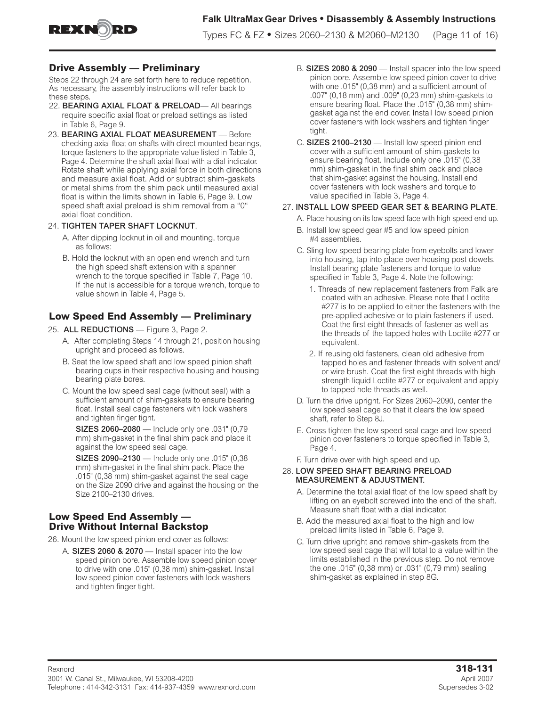

## **Drive Assembly — Preliminary**

Steps 22 through 24 are set forth here to reduce repetition. As necessary, the assembly instructions will refer back to these steps.

- 22. **BEARING AXIAL FLOAT & PRELOAD** All bearings require specific axial float or preload settings as listed in Table 6, Page 9.
- 23. BEARING AXIAL FLOAT MEASUREMENT Before checking axial float on shafts with direct mounted bearings, torque fasteners to the appropriate value listed in Table 3, Page 4. Determine the shaft axial float with a dial indicator. Rotate shaft while applying axial force in both directions and measure axial float. Add or subtract shim-gaskets or metal shims from the shim pack until measured axial float is within the limits shown in Table 6, Page 9. Low speed shaft axial preload is shim removal from a "0" axial float condition.

#### 24. TIGHTEN TAPER SHAFT LOCKNUT.

- A. After dipping locknut in oil and mounting, torque as follows:
- B. Hold the locknut with an open end wrench and turn the high speed shaft extension with a spanner wrench to the torque specified in Table 7, Page 10. If the nut is accessible for a torque wrench, torque to value shown in Table 4, Page 5.

## **Low Speed End Assembly — Preliminary**

- 25. ALL REDUCTIONS Figure 3, Page 2.
	- A. After completing Steps 14 through 21, position housing upright and proceed as follows.
	- B. Seat the low speed shaft and low speed pinion shaft bearing cups in their respective housing and housing bearing plate bores.
	- C. Mount the low speed seal cage (without seal) with a sufficient amount of shim-gaskets to ensure bearing float. Install seal cage fasteners with lock washers and tighten finger tight.

SIZES 2060–2080 — Include only one .031" (0,79 mm) shim-gasket in the final shim pack and place it against the low speed seal cage.

SIZES 2090–2130 — Include only one .015" (0,38 mm) shim-gasket in the final shim pack. Place the .015" (0,38 mm) shim-gasket against the seal cage on the Size 2090 drive and against the housing on the Size 2100–2130 drives.

## **Low Speed End Assembly — Drive Without Internal Backstop**

26. Mount the low speed pinion end cover as follows:

A. SIZES 2060 & 2070 — Install spacer into the low speed pinion bore. Assemble low speed pinion cover to drive with one .015" (0,38 mm) shim-gasket. Install low speed pinion cover fasteners with lock washers and tighten finger tight.

- B. SIZES 2080 & 2090 Install spacer into the low speed pinion bore. Assemble low speed pinion cover to drive with one .015" (0,38 mm) and a sufficient amount of .007" (0,18 mm) and .009" (0,23 mm) shim-gaskets to ensure bearing float. Place the .015" (0,38 mm) shimgasket against the end cover. Install low speed pinion cover fasteners with lock washers and tighten finger tight.
- C. SIZES 2100–2130 Install low speed pinion end cover with a sufficient amount of shim-gaskets to ensure bearing float. Include only one .015" (0,38 mm) shim-gasket in the final shim pack and place that shim-gasket against the housing. Install end cover fasteners with lock washers and torque to value specified in Table 3, Page 4.

#### 27. INSTALL LOW SPEED GEAR SET & BEARING PLATE.

- A. Place housing on its low speed face with high speed end up.
- B. Install low speed gear #5 and low speed pinion #4 assemblies.
- C. Sling low speed bearing plate from eyebolts and lower into housing, tap into place over housing post dowels. Install bearing plate fasteners and torque to value specified in Table 3, Page 4. Note the following:
	- 1. Threads of new replacement fasteners from Falk are coated with an adhesive. Please note that Loctite #277 is to be applied to either the fasteners with the pre-applied adhesive or to plain fasteners if used. Coat the first eight threads of fastener as well as the threads of the tapped holes with Loctite #277 or equivalent.
	- 2. If reusing old fasteners, clean old adhesive from tapped holes and fastener threads with solvent and/ or wire brush. Coat the first eight threads with high strength liquid Loctite #277 or equivalent and apply to tapped hole threads as well.
- D. Turn the drive upright. For Sizes 2060–2090, center the low speed seal cage so that it clears the low speed shaft, refer to Step 8J.
- E. Cross tighten the low speed seal cage and low speed pinion cover fasteners to torque specified in Table 3, Page 4.

F. Turn drive over with high speed end up.

#### 28. LOW SPEED SHAFT BEARING PRELOAD MEASUREMENT & ADJUSTMENT.

- A. Determine the total axial float of the low speed shaft by lifting on an eyebolt screwed into the end of the shaft. Measure shaft float with a dial indicator.
- B. Add the measured axial float to the high and low preload limits listed in Table 6, Page 9.
- C. Turn drive upright and remove shim-gaskets from the low speed seal cage that will total to a value within the limits established in the previous step. Do not remove the one .015" (0,38 mm) or .031" (0,79 mm) sealing shim-gasket as explained in step 8G.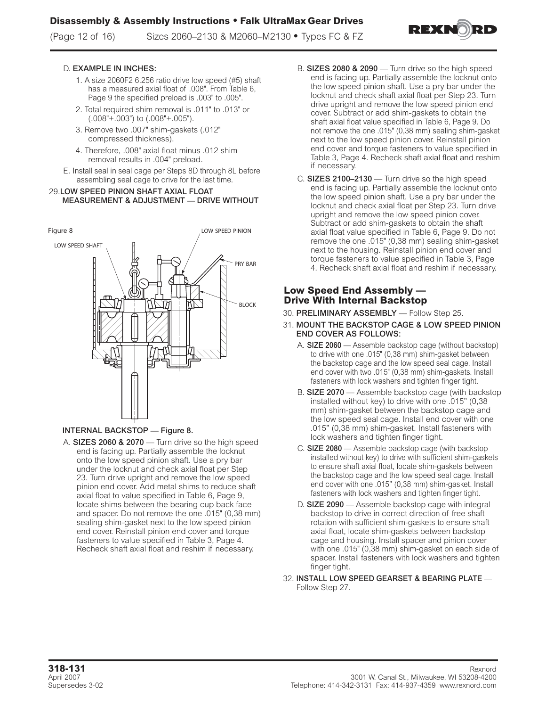(Page 12 of 16) Sizes 2060–2130 & M2060–M2130 **•** Types FC & FZ



#### D. EXAMPLE IN INCHES:

- 1. A size 2060F2 6.256 ratio drive low speed (#5) shaft has a measured axial float of .008". From Table 6, Page 9 the specified preload is .003" to .005".
- 2. Total required shim removal is .011" to .013" or (.008"+.003") to (.008"+.005").
- 3. Remove two .007" shim-gaskets (.012" compressed thickness).
- 4. Therefore, .008" axial float minus .012 shim removal results in .004" preload.
- E. Install seal in seal cage per Steps 8D through 8L before assembling seal cage to drive for the last time.

#### 29.LOW SPEED PINION SHAFT AXIAL FLOAT MEASUREMENT & ADJUSTMENT — DRIVE WITHOUT



#### INTERNAL BACKSTOP — Figure 8.

A. SIZES 2060 & 2070 — Turn drive so the high speed end is facing up. Partially assemble the locknut onto the low speed pinion shaft. Use a pry bar under the locknut and check axial float per Step 23. Turn drive upright and remove the low speed pinion end cover. Add metal shims to reduce shaft axial float to value specified in Table 6, Page 9, locate shims between the bearing cup back face and spacer. Do not remove the one .015" (0,38 mm) sealing shim-gasket next to the low speed pinion end cover. Reinstall pinion end cover and torque fasteners to value specified in Table 3, Page 4. Recheck shaft axial float and reshim if necessary.

- B. SIZES 2080  $& 2090 -$  Turn drive so the high speed end is facing up. Partially assemble the locknut onto the low speed pinion shaft. Use a pry bar under the locknut and check shaft axial float per Step 23. Turn drive upright and remove the low speed pinion end cover. Subtract or add shim-gaskets to obtain the shaft axial float value specified in Table 6, Page 9. Do not remove the one .015" (0,38 mm) sealing shim-gasket next to the low speed pinion cover. Reinstall pinion end cover and torque fasteners to value specified in Table 3, Page 4. Recheck shaft axial float and reshim if necessary.
- C. SIZES 2100–2130 Turn drive so the high speed end is facing up. Partially assemble the locknut onto the low speed pinion shaft. Use a pry bar under the locknut and check axial float per Step 23. Turn drive upright and remove the low speed pinion cover. Subtract or add shim-gaskets to obtain the shaft axial float value specified in Table 6, Page 9. Do not remove the one .015" (0,38 mm) sealing shim-gasket next to the housing. Reinstall pinion end cover and torque fasteners to value specified in Table 3, Page 4. Recheck shaft axial float and reshim if necessary.

## **Low Speed End Assembly — Drive With Internal Backstop**

- 30. PRELIMINARY ASSEMBLY Follow Step 25.
- 31. MOUNT THE BACKSTOP CAGE & LOW SPEED PINION END COVER AS FOLLOWS:
	- A. SIZE 2060 Assemble backstop cage (without backstop) to drive with one .015" (0,38 mm) shim-gasket between the backstop cage and the low speed seal cage. Install end cover with two .015" (0,38 mm) shim-gaskets. Install fasteners with lock washers and tighten finger tight.
	- B. SIZE 2070 Assemble backstop cage (with backstop installed without key) to drive with one .015" (0,38 mm) shim-gasket between the backstop cage and the low speed seal cage. Install end cover with one .015" (0,38 mm) shim-gasket. Install fasteners with lock washers and tighten finger tight.
	- C. SIZE 2080 Assemble backstop cage (with backstop installed without key) to drive with sufficient shim-gaskets to ensure shaft axial float, locate shim-gaskets between the backstop cage and the low speed seal cage. Install end cover with one .015" (0,38 mm) shim-gasket. Install fasteners with lock washers and tighten finger tight.
	- D. SIZE 2090 Assemble backstop cage with integral backstop to drive in correct direction of free shaft rotation with sufficient shim-gaskets to ensure shaft axial float, locate shim-gaskets between backstop cage and housing. Install spacer and pinion cover with one .015" (0,38 mm) shim-gasket on each side of spacer. Install fasteners with lock washers and tighten finger tight.
- 32. INSTALL LOW SPEED GEARSET & BEARING PLATE Follow Step 27.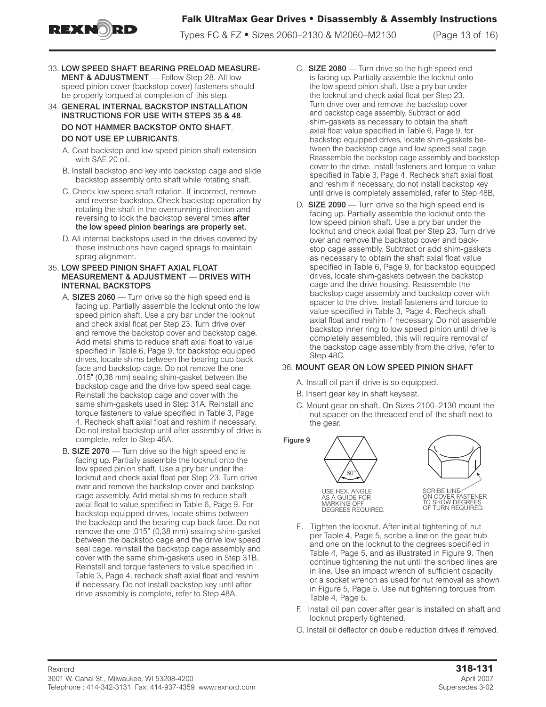

Types FC & FZ **•** Sizes 2060–2130 & M2060–M2130 (Page 13 of 16)

- 33. LOW SPEED SHAFT BEARING PRELOAD MEASURE-MENT & ADJUSTMENT - Follow Step 28. All low speed pinion cover (backstop cover) fasteners should be properly torqued at completion of this step.
- 34. GENERAL INTERNAL BACKSTOP INSTALLATION INSTRUCTIONS FOR USE WITH STEPS 35 & 48. DO NOT HAMMER BACKSTOP ONTO SHAFT.

### DO NOT USE EP LUBRICANTS.

- A. Coat backstop and low speed pinion shaft extension with SAE 20 oil.
- B. Install backstop and key into backstop cage and slide backstop assembly onto shaft while rotating shaft.
- C. Check low speed shaft rotation. If incorrect, remove and reverse backstop. Check backstop operation by rotating the shaft in the overrunning direction and reversing to lock the backstop several times **after** the low speed pinion bearings are properly set.
- D. All internal backstops used in the drives covered by these instructions have caged sprags to maintain sprag alignment.

#### 35. LOW SPEED PINION SHAFT AXIAL FLOAT MEASUREMENT & ADJUSTMENT — DRIVES WITH INTERNAL BACKSTOPS

- A. SIZES 2060 Turn drive so the high speed end is facing up. Partially assemble the locknut onto the low speed pinion shaft. Use a pry bar under the locknut and check axial float per Step 23. Turn drive over and remove the backstop cover and backstop cage. Add metal shims to reduce shaft axial float to value specified in Table 6, Page 9, for backstop equipped drives, locate shims between the bearing cup back face and backstop cage. Do not remove the one .015" (0,38 mm) sealing shim-gasket between the backstop cage and the drive low speed seal cage. Reinstall the backstop cage and cover with the same shim-gaskets used in Step 31A. Reinstall and torque fasteners to value specified in Table 3, Page 4. Recheck shaft axial float and reshim if necessary. Do not install backstop until after assembly of drive is complete, refer to Step 48A.
- B. SIZE 2070 Turn drive so the high speed end is facing up. Partially assemble the locknut onto the low speed pinion shaft. Use a pry bar under the locknut and check axial float per Step 23. Turn drive over and remove the backstop cover and backstop cage assembly. Add metal shims to reduce shaft axial float to value specified in Table 6, Page 9. For backstop equipped drives, locate shims between the backstop and the bearing cup back face. Do not remove the one .015" (0,38 mm) sealing shim-gasket between the backstop cage and the drive low speed seal cage. reinstall the backstop cage assembly and cover with the same shim-gaskets used in Step 31B. Reinstall and torque fasteners to value specified in Table 3, Page 4. recheck shaft axial float and reshim if necessary. Do not install backstop key until after drive assembly is complete, refer to Step 48A.
- C. SIZE 2080 Turn drive so the high speed end is facing up. Partially assemble the locknut onto the low speed pinion shaft. Use a pry bar under the locknut and check axial float per Step 23. Turn drive over and remove the backstop cover and backstop cage assembly. Subtract or add shim-gaskets as necessary to obtain the shaft axial float value specified in Table 6, Page 9, for backstop equipped drives, locate shim-gaskets between the backstop cage and low speed seal cage. Reassemble the backstop cage assembly and backstop cover to the drive. Install fasteners and torque to value specified in Table 3, Page 4. Recheck shaft axial float and reshim if necessary, do not install backstop key until drive is completely assembled, refer to Step 48B.
- D. SIZE 2090 Turn drive so the high speed end is facing up. Partially assemble the locknut onto the low speed pinion shaft. Use a pry bar under the locknut and check axial float per Step 23. Turn drive over and remove the backstop cover and backstop cage assembly. Subtract or add shim-gaskets as necessary to obtain the shaft axial float value specified in Table 6, Page 9, for backstop equipped drives, locate shim-gaskets between the backstop cage and the drive housing. Reassemble the backstop cage assembly and backstop cover with spacer to the drive. Install fasteners and torque to value specified in Table 3, Page 4. Recheck shaft axial float and reshim if necessary. Do not assemble backstop inner ring to low speed pinion until drive is completely assembled, this will require removal of the backstop cage assembly from the drive, refer to Step 48C.

### 36. MOUNT GEAR ON LOW SPEED PINION SHAFT

- A. Install oil pan if drive is so equipped.
- B. Insert gear key in shaft keyseat.
- C. Mount gear on shaft. On Sizes 2100–2130 mount the nut spacer on the threaded end of the shaft next to the gear.



- E. Tighten the locknut. After initial tightening of nut per Table 4, Page 5, scribe a line on the gear hub and one on the locknut to the degrees specified in Table 4, Page 5, and as illustrated in Figure 9. Then continue tightening the nut until the scribed lines are in line. Use an impact wrench of sufficient capacity or a socket wrench as used for nut removal as shown in Figure 5, Page 5. Use nut tightening torques from Table 4, Page 5.
- F. Install oil pan cover after gear is installed on shaft and locknut properly tightened.
- G. Install oil deflector on double reduction drives if removed.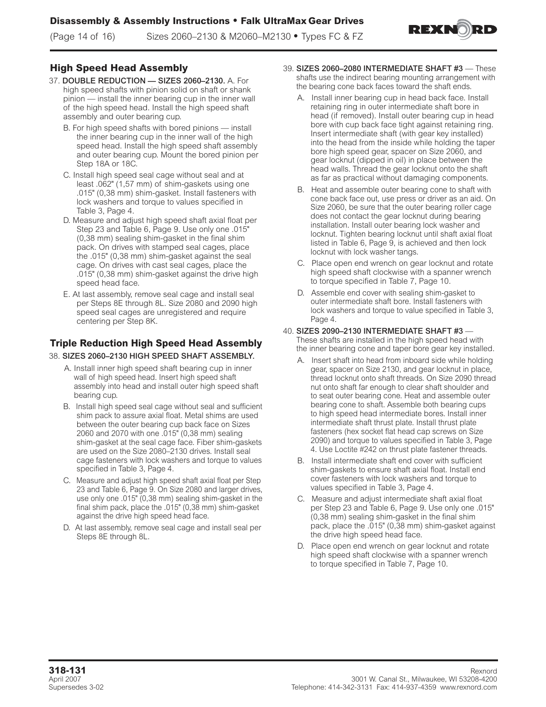

# **High Speed Head Assembly**

- 37. DOUBLE REDUCTION SIZES 2060–2130. A. For high speed shafts with pinion solid on shaft or shank pinion — install the inner bearing cup in the inner wall of the high speed head. Install the high speed shaft assembly and outer bearing cup.
	- B. For high speed shafts with bored pinions install the inner bearing cup in the inner wall of the high speed head. Install the high speed shaft assembly and outer bearing cup. Mount the bored pinion per Step 18A or 18C.
	- C. Install high speed seal cage without seal and at least .062" (1,57 mm) of shim-gaskets using one .015" (0,38 mm) shim-gasket. Install fasteners with lock washers and torque to values specified in Table 3, Page 4.
	- D. Measure and adjust high speed shaft axial float per Step 23 and Table 6, Page 9. Use only one .015" (0,38 mm) sealing shim-gasket in the final shim pack. On drives with stamped seal cages, place the .015" (0,38 mm) shim-gasket against the seal cage. On drives with cast seal cages, place the .015" (0,38 mm) shim-gasket against the drive high speed head face.
	- E. At last assembly, remove seal cage and install seal per Steps 8E through 8L. Size 2080 and 2090 high speed seal cages are unregistered and require centering per Step 8K.

# **Triple Reduction High Speed Head Assembly**

### 38. SIZES 2060–2130 HIGH SPEED SHAFT ASSEMBLY.

- A. Install inner high speed shaft bearing cup in inner wall of high speed head. Insert high speed shaft assembly into head and install outer high speed shaft bearing cup.
- B. Install high speed seal cage without seal and sufficient shim pack to assure axial float. Metal shims are used between the outer bearing cup back face on Sizes 2060 and 2070 with one .015" (0,38 mm) sealing shim-gasket at the seal cage face. Fiber shim-gaskets are used on the Size 2080–2130 drives. Install seal cage fasteners with lock washers and torque to values specified in Table 3, Page 4.
- C. Measure and adjust high speed shaft axial float per Step 23 and Table 6, Page 9. On Size 2080 and larger drives, use only one .015" (0,38 mm) sealing shim-gasket in the final shim pack, place the .015" (0,38 mm) shim-gasket against the drive high speed head face.
- D. At last assembly, remove seal cage and install seal per Steps 8E through 8L.
- 39. SIZES 2060–2080 INTERMEDIATE SHAFT #3 These shafts use the indirect bearing mounting arrangement with the bearing cone back faces toward the shaft ends.
	- A. Install inner bearing cup in head back face. Install retaining ring in outer intermediate shaft bore in head (if removed). Install outer bearing cup in head bore with cup back face tight against retaining ring. Insert intermediate shaft (with gear key installed) into the head from the inside while holding the taper bore high speed gear, spacer on Size 2060, and gear locknut (dipped in oil) in place between the head walls. Thread the gear locknut onto the shaft as far as practical without damaging components.
	- B. Heat and assemble outer bearing cone to shaft with cone back face out, use press or driver as an aid. On Size 2060, be sure that the outer bearing roller cage does not contact the gear locknut during bearing installation. Install outer bearing lock washer and locknut. Tighten bearing locknut until shaft axial float listed in Table 6, Page 9, is achieved and then lock locknut with lock washer tangs.
	- C. Place open end wrench on gear locknut and rotate high speed shaft clockwise with a spanner wrench to torque specified in Table 7, Page 10.
	- D. Assemble end cover with sealing shim-gasket to outer intermediate shaft bore. Install fasteners with lock washers and torque to value specified in Table 3, Page 4.
- 40. SIZES 2090–2130 INTERMEDIATE SHAFT #3 These shafts are installed in the high speed head with the inner bearing cone and taper bore gear key installed.
	- A. Insert shaft into head from inboard side while holding gear, spacer on Size 2130, and gear locknut in place, thread locknut onto shaft threads. On Size 2090 thread nut onto shaft far enough to clear shaft shoulder and to seat outer bearing cone. Heat and assemble outer bearing cone to shaft. Assemble both bearing cups to high speed head intermediate bores. Install inner intermediate shaft thrust plate. Install thrust plate fasteners (hex socket flat head cap screws on Size 2090) and torque to values specified in Table 3, Page 4. Use Loctite #242 on thrust plate fastener threads.
	- B. Install intermediate shaft end cover with sufficient shim-gaskets to ensure shaft axial float. Install end cover fasteners with lock washers and torque to values specified in Table 3, Page 4.
	- C. Measure and adjust intermediate shaft axial float per Step 23 and Table 6, Page 9. Use only one .015" (0,38 mm) sealing shim-gasket in the final shim pack, place the .015" (0,38 mm) shim-gasket against the drive high speed head face.
	- D. Place open end wrench on gear locknut and rotate high speed shaft clockwise with a spanner wrench to torque specified in Table 7, Page 10.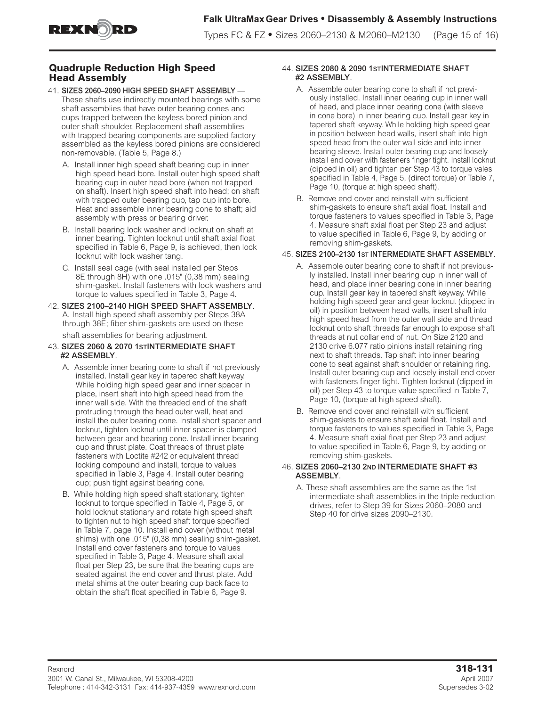

## **Quadruple Reduction High Speed Head Assembly**

- 41. SIZES 2060–2090 HIGH SPEED SHAFT ASSEMBLY These shafts use indirectly mounted bearings with some shaft assemblies that have outer bearing cones and cups trapped between the keyless bored pinion and outer shaft shoulder. Replacement shaft assemblies with trapped bearing components are supplied factory assembled as the keyless bored pinions are considered non-removable. (Table 5, Page 8.)
	- A. Install inner high speed shaft bearing cup in inner high speed head bore. Install outer high speed shaft bearing cup in outer head bore (when not trapped on shaft). Insert high speed shaft into head; on shaft with trapped outer bearing cup, tap cup into bore. Heat and assemble inner bearing cone to shaft; aid assembly with press or bearing driver.
	- B. Install bearing lock washer and locknut on shaft at inner bearing. Tighten locknut until shaft axial float specified in Table 6, Page 9, is achieved, then lock locknut with lock washer tang.
	- C. Install seal cage (with seal installed per Steps 8E through 8H) with one .015" (0,38 mm) sealing shim-gasket. Install fasteners with lock washers and torque to values specified in Table 3, Page 4.
- 42. SIZES 2100–2140 HIGH SPEED SHAFT ASSEMBLY. A. Install high speed shaft assembly per Steps 38A through 38E; fiber shim-gaskets are used on these shaft assemblies for bearing adjustment.
- 43. SIZES 2060 & 2070 1STINTERMEDIATE SHAFT #2 ASSEMBLY.
	- A. Assemble inner bearing cone to shaft if not previously installed. Install gear key in tapered shaft keyway. While holding high speed gear and inner spacer in place, insert shaft into high speed head from the inner wall side. With the threaded end of the shaft protruding through the head outer wall, heat and install the outer bearing cone. Install short spacer and locknut, tighten locknut until inner spacer is clamped between gear and bearing cone. Install inner bearing cup and thrust plate. Coat threads of thrust plate fasteners with Loctite #242 or equivalent thread locking compound and install, torque to values specified in Table 3, Page 4. Install outer bearing cup; push tight against bearing cone.
	- B. While holding high speed shaft stationary, tighten locknut to torque specified in Table 4, Page 5, or hold locknut stationary and rotate high speed shaft to tighten nut to high speed shaft torque specified in Table 7, page 10. Install end cover (without metal shims) with one .015" (0,38 mm) sealing shim-gasket. Install end cover fasteners and torque to values specified in Table 3, Page 4. Measure shaft axial float per Step 23, be sure that the bearing cups are seated against the end cover and thrust plate. Add metal shims at the outer bearing cup back face to obtain the shaft float specified in Table 6, Page 9.

### 44. SIZES 2080 & 2090 1STINTERMEDIATE SHAFT #2 ASSEMBLY.

- A. Assemble outer bearing cone to shaft if not previously installed. Install inner bearing cup in inner wall of head, and place inner bearing cone (with sleeve in cone bore) in inner bearing cup. Install gear key in tapered shaft keyway. While holding high speed gear in position between head walls, insert shaft into high speed head from the outer wall side and into inner bearing sleeve. Install outer bearing cup and loosely install end cover with fasteners finger tight. Install locknut (dipped in oil) and tighten per Step 43 to torque vales specified in Table 4, Page 5, (direct torque) or Table 7, Page 10, (torque at high speed shaft).
- B. Remove end cover and reinstall with sufficient shim-gaskets to ensure shaft axial float. Install and torque fasteners to values specified in Table 3, Page 4. Measure shaft axial float per Step 23 and adjust to value specified in Table 6, Page 9, by adding or removing shim-gaskets.

## 45. SIZES 2100–2130 1ST INTERMEDIATE SHAFT ASSEMBLY.

- A. Assemble outer bearing cone to shaft if not previously installed. Install inner bearing cup in inner wall of head, and place inner bearing cone in inner bearing cup. Install gear key in tapered shaft keyway. While holding high speed gear and gear locknut (dipped in oil) in position between head walls, insert shaft into high speed head from the outer wall side and thread locknut onto shaft threads far enough to expose shaft threads at nut collar end of nut. On Size 2120 and 2130 drive 6.077 ratio pinions install retaining ring next to shaft threads. Tap shaft into inner bearing cone to seat against shaft shoulder or retaining ring. Install outer bearing cup and loosely install end cover with fasteners finger tight. Tighten locknut (dipped in oil) per Step 43 to torque value specified in Table 7, Page 10, (torque at high speed shaft).
- B. Remove end cover and reinstall with sufficient shim-gaskets to ensure shaft axial float. Install and torque fasteners to values specified in Table 3, Page 4. Measure shaft axial float per Step 23 and adjust to value specified in Table 6, Page 9, by adding or removing shim-gaskets.

#### 46. SIZES 2060–2130 2ND INTERMEDIATE SHAFT #3 ASSEMBLY.

A. These shaft assemblies are the same as the 1st intermediate shaft assemblies in the triple reduction drives, refer to Step 39 for Sizes 2060–2080 and Step 40 for drive sizes 2090–2130.